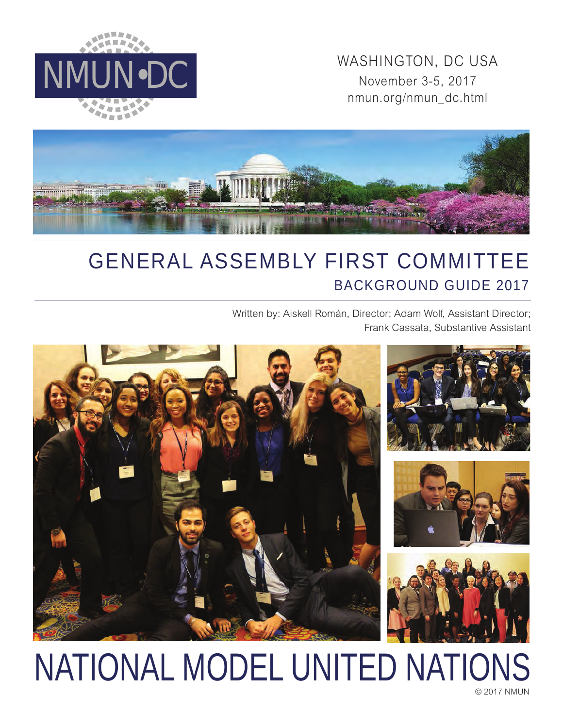

MMUN•DC WASHINGTON, DC USA<br>November 3-5, 2017 November 3-5, 2017 nmun.org/nmun\_dc.html



## GENERAL ASSEMBLY FIRST COMMITTEE BACKGROUND GUIDE 2017

Written by: Aiskell Román, Director; Adam Wolf, Assistant Director; Frank Cassata, Substantive Assistant



# NATIONAL MODEL UNITED NATIONS

© 2017 NMUN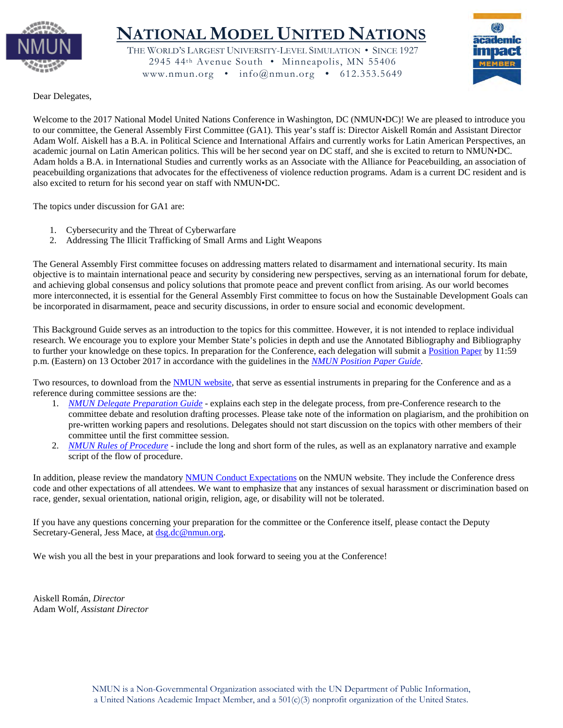

### **NATIONAL MODEL UNITED NATIONS**

THE WORLD'S LARGEST UNIVERSITY-LEVEL SIMULATION • SINCE 1927 2945 44th Avenue South • Minneapolis, MN 55406 www.nmun.org •  $info@$ nmun.org • 612.353.5649



Dear Delegates,

Welcome to the 2017 National Model United Nations Conference in Washington, DC (NMUN•DC)! We are pleased to introduce you to our committee, the General Assembly First Committee (GA1). This year's staff is: Director Aiskell Román and Assistant Director Adam Wolf. Aiskell has a B.A. in Political Science and International Affairs and currently works for Latin American Perspectives, an academic journal on Latin American politics. This will be her second year on DC staff, and she is excited to return to NMUN•DC. Adam holds a B.A. in International Studies and currently works as an Associate with the Alliance for Peacebuilding, an association of peacebuilding organizations that advocates for the effectiveness of violence reduction programs. Adam is a current DC resident and is also excited to return for his second year on staff with NMUN•DC.

The topics under discussion for GA1 are:

- 1. Cybersecurity and the Threat of Cyberwarfare
- 2. Addressing The Illicit Trafficking of Small Arms and Light Weapons

The General Assembly First committee focuses on addressing matters related to disarmament and international security. Its main objective is to maintain international peace and security by considering new perspectives, serving as an international forum for debate, and achieving global consensus and policy solutions that promote peace and prevent conflict from arising. As our world becomes more interconnected, it is essential for the General Assembly First committee to focus on how the Sustainable Development Goals can be incorporated in disarmament, peace and security discussions, in order to ensure social and economic development.

This Background Guide serves as an introduction to the topics for this committee. However, it is not intended to replace individual research. We encourage you to explore your Member State's policies in depth and use the Annotated Bibliography and Bibliography to further your knowledge on these topics. In preparation for the Conference, each delegation will submit a [Position Paper](http://nmun.org/dc_position_papers.html) by 11:59 p.m. (Eastern) on 13 October 2017 in accordance with the guidelines in the *[NMUN Position Paper Guide](http://nmun.org/downloads/NMUNPPGuide.pdf)*.

Two resources, to download from the [NMUN website,](http://nmun.org/dc_preparations.html) that serve as essential instruments in preparing for the Conference and as a reference during committee sessions are the:

- 1. *[NMUN Delegate Preparation Guide](http://nmun.org/downloads/NMUNDelegatePrepGuide.pdf)* explains each step in the delegate process, from pre-Conference research to the committee debate and resolution drafting processes. Please take note of the information on plagiarism, and the prohibition on pre-written working papers and resolutions. Delegates should not start discussion on the topics with other members of their committee until the first committee session.
- 2. *[NMUN Rules of Procedure](http://nmun.org/downloads/NMUNRules.pdf)* include the long and short form of the rules, as well as an explanatory narrative and example script of the flow of procedure.

In addition, please review the mandatory [NMUN Conduct](http://nmun.org/policies_codes.html) Expectations on the NMUN website. They include the Conference dress code and other expectations of all attendees. We want to emphasize that any instances of sexual harassment or discrimination based on race, gender, sexual orientation, national origin, religion, age, or disability will not be tolerated.

If you have any questions concerning your preparation for the committee or the Conference itself, please contact the Deputy Secretary-General, Jess Mace, at [dsg.dc@nmun.org.](mailto:dsg.dc@nmun.org)

We wish you all the best in your preparations and look forward to seeing you at the Conference!

Aiskell Román, *Director* Adam Wolf, *Assistant Director*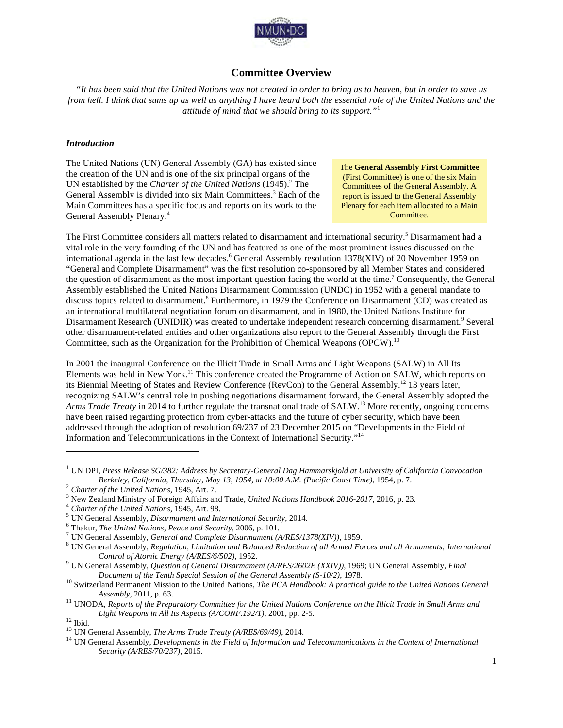

#### **Committee Overview**

*"It has been said that the United Nations was not created in order to bring us to heaven, but in order to save us from hell. I think that sums up as well as anything I have heard both the essential role of the United Nations and the attitude of mind that we should bring to its support."*<sup>1</sup>

#### *Introduction*

The United Nations (UN) General Assembly (GA) has existed since the creation of the UN and is one of the six principal organs of the UN established by the *Charter of the United Nations* (1945).<sup>2</sup> The General Assembly is divided into six Main Committees.<sup>3</sup> Each of the Main Committees has a specific focus and reports on its work to the General Assembly Plenary. 4

The **General Assembly First Committee**  (First Committee) is one of the six Main Committees of the General Assembly. A report is issued to the General Assembly Plenary for each item allocated to a Main Committee.

The First Committee considers all matters related to disarmament and international security.<sup>5</sup> Disarmament had a vital role in the very founding of the UN and has featured as one of the most prominent issues discussed on the international agenda in the last few decades.<sup>6</sup> General Assembly resolution 1378(XIV) of 20 November 1959 on "General and Complete Disarmament" was the first resolution co-sponsored by all Member States and considered the question of disarmament as the most important question facing the world at the time.<sup>7</sup> Consequently, the General Assembly established the United Nations Disarmament Commission (UNDC) in 1952 with a general mandate to discuss topics related to disarmament.<sup>8</sup> Furthermore, in 1979 the Conference on Disarmament (CD) was created as an international multilateral negotiation forum on disarmament, and in 1980, the United Nations Institute for Disarmament Research (UNIDIR) was created to undertake independent research concerning disarmament.<sup>9</sup> Several other disarmament-related entities and other organizations also report to the General Assembly through the First Committee, such as the Organization for the Prohibition of Chemical Weapons (OPCW).<sup>10</sup>

In 2001 the inaugural Conference on the Illicit Trade in Small Arms and Light Weapons (SALW) in All Its Elements was held in New York.<sup>11</sup> This conference created the Programme of Action on SALW, which reports on its Biennial Meeting of States and Review Conference (RevCon) to the General Assembly.<sup>12</sup> 13 years later, recognizing SALW's central role in pushing negotiations disarmament forward, the General Assembly adopted the *Arms Trade Treaty* in 2014 to further regulate the transnational trade of SALW. <sup>13</sup> More recently, ongoing concerns have been raised regarding protection from cyber-attacks and the future of cyber security, which have been addressed through the adoption of resolution 69/237 of 23 December 2015 on "Developments in the Field of Information and Telecommunications in the Context of International Security."14

<sup>1</sup> UN DPI, *Press Release SG/382: Address by Secretary-General Dag Hammarskjold at University of California Convocation* 

<sup>&</sup>lt;sup>2</sup> Charter of the United Nations, 1945, Art. 7.<br>
<sup>3</sup> New Zealand Ministry of Foreign Affairs and Trade, United Nations Handbook 2016-2017, 2016, p. 23.<br>
<sup>4</sup> Charter of the United Nations, 1945, Art. 98.<br>
<sup>5</sup> UN General A *Control of Atomic Energy (A/RES/6/502)*, 1952. <sup>9</sup> UN General Assembly, *Question of General Disarmament (A/RES/2602E (XXIV))*, 1969; UN General Assembly, *Final* 

*Document of the Tenth Special Session of the General Assembly (S-10/2)*, 1978.<br><sup>10</sup> Switzerland Permanent Mission to the United Nations, *The PGA Handbook: A practical guide to the United Nations General* 

*Assembly*, 2011, p. 63. <sup>11</sup> UNODA, *Reports of the Preparatory Committee for the United Nations Conference on the Illicit Trade in Small Arms and* 

*Light Weapons in All Its Aspects (A/CONF.192/1), 2001, pp. 2-5.*<br><sup>12</sup> Ibid.<br><sup>13</sup> UN General Assembly, *The Arms Trade Treaty (A/RES/69/49), 2014.*<br><sup>14</sup> UN General Assembly, *Developments in the Field of Information and Te* 

*Security (A/RES/70/237)*, 2015.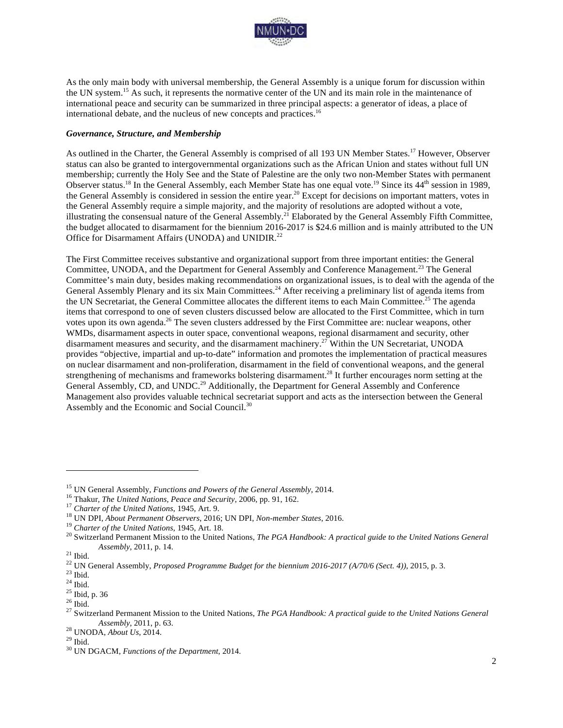

As the only main body with universal membership, the General Assembly is a unique forum for discussion within the UN system.<sup>15</sup> As such, it represents the normative center of the UN and its main role in the maintenance of international peace and security can be summarized in three principal aspects: a generator of ideas, a place of international debate, and the nucleus of new concepts and practices.<sup>16</sup>

#### *Governance, Structure, and Membership*

As outlined in the Charter, the General Assembly is comprised of all 193 UN Member States.<sup>17</sup> However, Observer status can also be granted to intergovernmental organizations such as the African Union and states without full UN membership; currently the Holy See and the State of Palestine are the only two non-Member States with permanent Observer status.<sup>18</sup> In the General Assembly, each Member State has one equal vote.<sup>19</sup> Since its 44<sup>th</sup> session in 1989, the General Assembly is considered in session the entire year.<sup>20</sup> Except for decisions on important matters, votes in the General Assembly require a simple majority, and the majority of resolutions are adopted without a vote, illustrating the consensual nature of the General Assembly.<sup>21</sup> Elaborated by the General Assembly Fifth Committee, the budget allocated to disarmament for the biennium 2016-2017 is \$24.6 million and is mainly attributed to the UN Office for Disarmament Affairs (UNODA) and UNIDIR.<sup>22</sup>

The First Committee receives substantive and organizational support from three important entities: the General Committee, UNODA, and the Department for General Assembly and Conference Management.<sup>23</sup> The General Committee's main duty, besides making recommendations on organizational issues, is to deal with the agenda of the General Assembly Plenary and its six Main Committees.<sup>24</sup> After receiving a preliminary list of agenda items from the UN Secretariat, the General Committee allocates the different items to each Main Committee.<sup>25</sup> The agenda items that correspond to one of seven clusters discussed below are allocated to the First Committee, which in turn votes upon its own agenda.26 The seven clusters addressed by the First Committee are: nuclear weapons, other WMDs, disarmament aspects in outer space, conventional weapons, regional disarmament and security, other disarmament measures and security, and the disarmament machinery. <sup>27</sup> Within the UN Secretariat, UNODA provides "objective, impartial and up-to-date" information and promotes the implementation of practical measures on nuclear disarmament and non-proliferation, disarmament in the field of conventional weapons, and the general strengthening of mechanisms and frameworks bolstering disarmament.<sup>28</sup> It further encourages norm setting at the General Assembly, CD, and UNDC.<sup>29</sup> Additionally, the Department for General Assembly and Conference Management also provides valuable technical secretariat support and acts as the intersection between the General Assembly and the Economic and Social Council.<sup>30</sup>

<sup>&</sup>lt;sup>15</sup> UN General Assembly, *Functions and Powers of the General Assembly*, 2014.<br><sup>16</sup> Thakur, *The United Nations*, *Peace and Security*, 2006, pp. 91, 162.<br><sup>17</sup> Charter of the United Nations, 1945, Art. 9.<br><sup>18</sup> UN DPI, *A* Assembly, 2011, p. 14.<br>
<sup>21</sup> Ibid.<br>
<sup>22</sup> UN General Assembly, *Proposed Programme Budget for the biennium 2016-2017 (A/70/6 (Sect. 4))*, 2015, p. 3.<br>
<sup>23</sup> Ibid.<br>
<sup>24</sup> Ibid.<br>
<sup>25</sup> Ibid, p. 36<br>
<sup>25</sup> Ibid, p. 36<br>
<sup>26</sup> Ibid.<br>

*Assembly*, 2011, p. 63.<br><sup>28</sup> UNODA, *About Us*, 2014.<br><sup>29</sup> Ibid. 30 UN DGACM, *Functions of the Department*, 2014.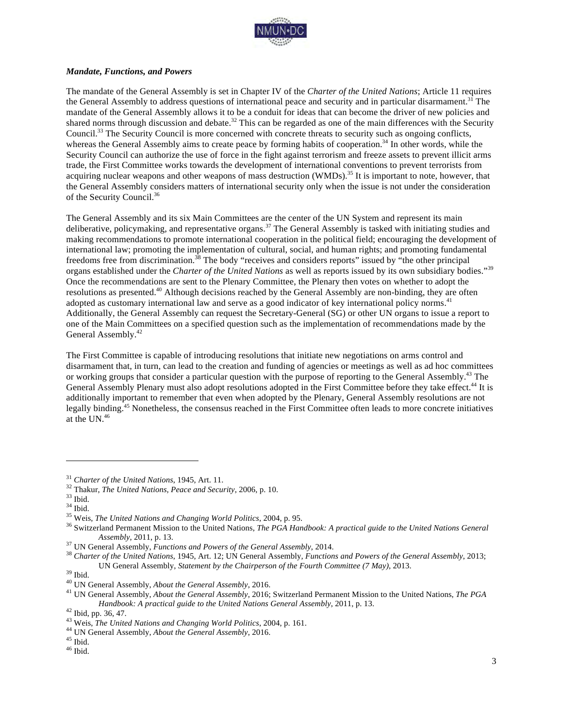

#### *Mandate, Functions, and Powers*

The mandate of the General Assembly is set in Chapter IV of the *Charter of the United Nations*; Article 11 requires the General Assembly to address questions of international peace and security and in particular disarmament.<sup>31</sup> The mandate of the General Assembly allows it to be a conduit for ideas that can become the driver of new policies and shared norms through discussion and debate.<sup>32</sup> This can be regarded as one of the main differences with the Security Council.33 The Security Council is more concerned with concrete threats to security such as ongoing conflicts, whereas the General Assembly aims to create peace by forming habits of cooperation.<sup>34</sup> In other words, while the Security Council can authorize the use of force in the fight against terrorism and freeze assets to prevent illicit arms trade, the First Committee works towards the development of international conventions to prevent terrorists from acquiring nuclear weapons and other weapons of mass destruction (WMDs).<sup>35</sup> It is important to note, however, that the General Assembly considers matters of international security only when the issue is not under the consideration of the Security Council. 36

The General Assembly and its six Main Committees are the center of the UN System and represent its main deliberative, policymaking, and representative organs.<sup>37</sup> The General Assembly is tasked with initiating studies and making recommendations to promote international cooperation in the political field; encouraging the development of international law; promoting the implementation of cultural, social, and human rights; and promoting fundamental freedoms free from discrimination.<sup>38</sup> The body "receives and considers reports" issued by "the other principal organs established under the *Charter of the United Nations* as well as reports issued by its own subsidiary bodies."<sup>39</sup> Once the recommendations are sent to the Plenary Committee, the Plenary then votes on whether to adopt the resolutions as presented.40 Although decisions reached by the General Assembly are non-binding, they are often adopted as customary international law and serve as a good indicator of key international policy norms.<sup>41</sup> Additionally, the General Assembly can request the Secretary-General (SG) or other UN organs to issue a report to one of the Main Committees on a specified question such as the implementation of recommendations made by the General Assembly. 42

The First Committee is capable of introducing resolutions that initiate new negotiations on arms control and disarmament that, in turn, can lead to the creation and funding of agencies or meetings as well as ad hoc committees or working groups that consider a particular question with the purpose of reporting to the General Assembly. <sup>43</sup> The General Assembly Plenary must also adopt resolutions adopted in the First Committee before they take effect.<sup>44</sup> It is additionally important to remember that even when adopted by the Plenary, General Assembly resolutions are not legally binding.<sup>45</sup> Nonetheless, the consensus reached in the First Committee often leads to more concrete initiatives at the UN.46

<sup>&</sup>lt;sup>31</sup> Charter of the United Nations, 1945, Art. 11.<br><sup>32</sup> Thakur, *The United Nations, Peace and Security*, 2006, p. 10.<br><sup>33</sup> Ibid.<br><sup>35</sup> Weis, *The United Nations and Changing World Politics*, 2004, p. 95.<br><sup>36</sup> Switzerland

Assembly, 2011, p. 13.<br><sup>37</sup> UN General Assembly, *Functions and Powers of the General Assembly*, 2014.<br><sup>38</sup> Charter of the United Nations, 1945, Art. 12; UN General Assembly, *Functions and Powers of the General Assembly*,

<sup>&</sup>lt;sup>39</sup> Ibid.<br><sup>40</sup> UN General Assembly, *About the General Assembly*, 2016.<br><sup>41</sup> UN General Assembly, *About the General Assembly*, 2016; Switzerland Permanent Mission to the United Nations, *The PGA Handbook: A practical guide to the United Nations General Assembly, 2011, p. 13.*<br><sup>42</sup> Ibid, pp. 36, 47.<br><sup>43</sup> Weis, *The United Nations and Changing World Politics, 2004, p. 161.<br><sup>44</sup> UN General Assembly, <i>About the Gener*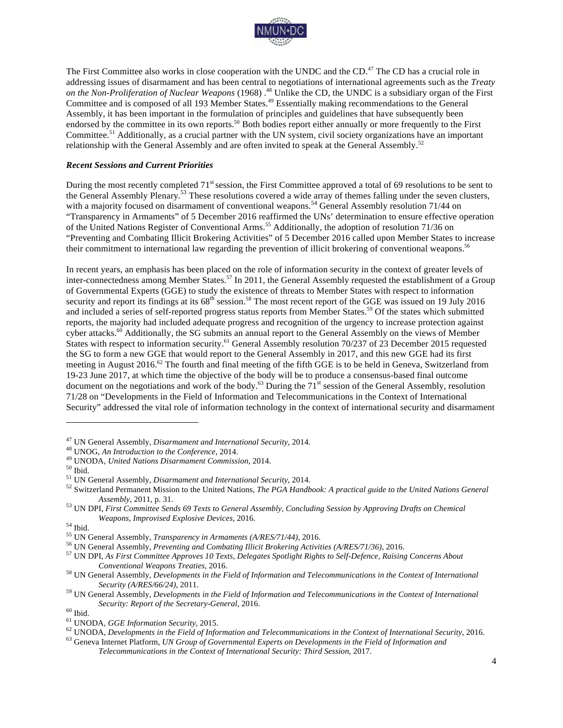

The First Committee also works in close cooperation with the UNDC and the CD.<sup>47</sup> The CD has a crucial role in addressing issues of disarmament and has been central to negotiations of international agreements such as the *Treaty on the Non-Proliferation of Nuclear Weapons* (1968) . <sup>48</sup> Unlike the CD, the UNDC is a subsidiary organ of the First Committee and is composed of all 193 Member States.<sup>49</sup> Essentially making recommendations to the General Assembly, it has been important in the formulation of principles and guidelines that have subsequently been endorsed by the committee in its own reports.<sup>50</sup> Both bodies report either annually or more frequently to the First Committee.<sup>51</sup> Additionally, as a crucial partner with the UN system, civil society organizations have an important relationship with the General Assembly and are often invited to speak at the General Assembly.<sup>52</sup>

#### *Recent Sessions and Current Priorities*

During the most recently completed 71<sup>st</sup> session, the First Committee approved a total of 69 resolutions to be sent to the General Assembly Plenary.<sup>53</sup> These resolutions covered a wide array of themes falling under the seven clusters, with a majority focused on disarmament of conventional weapons.<sup>54</sup> General Assembly resolution 71/44 on "Transparency in Armaments" of 5 December 2016 reaffirmed the UNs' determination to ensure effective operation of the United Nations Register of Conventional Arms.<sup>55</sup> Additionally, the adoption of resolution 71/36 on "Preventing and Combating Illicit Brokering Activities" of 5 December 2016 called upon Member States to increase their commitment to international law regarding the prevention of illicit brokering of conventional weapons.56

In recent years, an emphasis has been placed on the role of information security in the context of greater levels of inter-connectedness among Member States.<sup>57</sup> In 2011, the General Assembly requested the establishment of a Group of Governmental Experts (GGE) to study the existence of threats to Member States with respect to information security and report its findings at its 68<sup>th</sup> session.<sup>58</sup> The most recent report of the GGE was issued on 19 July 2016 and included a series of self-reported progress status reports from Member States.<sup>59</sup> Of the states which submitted reports, the majority had included adequate progress and recognition of the urgency to increase protection against cyber attacks.<sup>60</sup> Additionally, the SG submits an annual report to the General Assembly on the views of Member States with respect to information security.<sup>61</sup> General Assembly resolution 70/237 of 23 December 2015 requested the SG to form a new GGE that would report to the General Assembly in 2017, and this new GGE had its first meeting in August 2016.<sup>62</sup> The fourth and final meeting of the fifth GGE is to be held in Geneva, Switzerland from 19-23 June 2017, at which time the objective of the body will be to produce a consensus-based final outcome document on the negotiations and work of the body.<sup>63</sup> During the  $71<sup>st</sup>$  session of the General Assembly, resolution 71/28 on "Developments in the Field of Information and Telecommunications in the Context of International Security" addressed the vital role of information technology in the context of international security and disarmament

<sup>&</sup>lt;sup>47</sup> UN General Assembly, *Disarmament and International Security*, 2014.<br><sup>48</sup> UNOG, *An Introduction to the Conference*, 2014.<br><sup>49</sup> UNODA, *United Nations Disarmament Commission*, 2014.<br><sup>50</sup> Ibid.<br><sup>51</sup> UN General Assembl

*Assembly*, 2011, p. 31. <sup>53</sup> UN DPI, *First Committee Sends 69 Texts to General Assembly, Concluding Session by Approving Drafts on Chemical*  Weapons, Improvised Explosive Devices, 2016.<br><sup>54</sup> Ibid.<br><sup>55</sup> UN General Assembly, *Transparency in Armaments (A/RES/71/44)*, 2016.<br><sup>56</sup> UN General Assembly, *Preventing and Combating Illicit Brokering Activities (A/RES/71/* 

*Conventional Weapons Treaties*, 2016. <sup>58</sup> UN General Assembly, *Developments in the Field of Information and Telecommunications in the Context of International* 

*Security (A/RES/66/24)*, 2011. <sup>59</sup> UN General Assembly, *Developments in the Field of Information and Telecommunications in the Context of International* 

Security: Report of the Secretary-General, 2016.<br><sup>60</sup> Ibid.<br><sup>61</sup> UNODA, GGE Information Security, 2015.<br><sup>62</sup> UNODA, Developments in the Field of Information and Telecommunications in the Context of International Security,

*Telecommunications in the Context of International Security: Third Session*, 2017.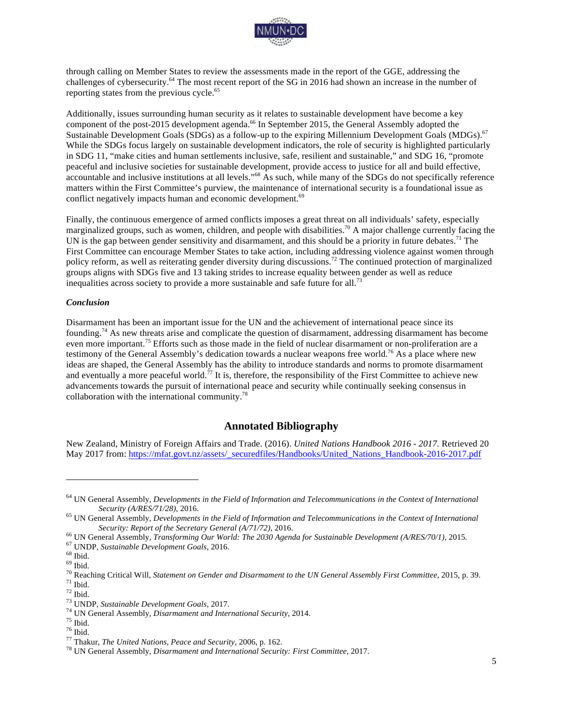

through calling on Member States to review the assessments made in the report of the GGE, addressing the challenges of cybersecurity.<sup>64</sup> The most recent report of the SG in 2016 had shown an increase in the number of reporting states from the previous cycle.<sup>65</sup>

Additionally, issues surrounding human security as it relates to sustainable development have become a key component of the post-2015 development agenda.<sup>66</sup> In September 2015, the General Assembly adopted the Sustainable Development Goals (SDGs) as a follow-up to the expiring Millennium Development Goals (MDGs).<sup>67</sup> While the SDGs focus largely on sustainable development indicators, the role of security is highlighted particularly in SDG 11, "make cities and human settlements inclusive, safe, resilient and sustainable," and SDG 16, "promote peaceful and inclusive societies for sustainable development, provide access to justice for all and build effective, accountable and inclusive institutions at all levels."<sup>68</sup> As such, while many of the SDGs do not specifically reference matters within the First Committee's purview, the maintenance of international security is a foundational issue as conflict negatively impacts human and economic development.<sup>69</sup>

Finally, the continuous emergence of armed conflicts imposes a great threat on all individuals' safety, especially marginalized groups, such as women, children, and people with disabilities.<sup>70</sup> A major challenge currently facing the UN is the gap between gender sensitivity and disarmament, and this should be a priority in future debates.<sup>71</sup> The First Committee can encourage Member States to take action, including addressing violence against women through policy reform, as well as reiterating gender diversity during discussions.<sup>72</sup> The continued protection of marginalized groups aligns with SDGs five and 13 taking strides to increase equality between gender as well as reduce inequalities across society to provide a more sustainable and safe future for all.<sup>73</sup>

#### *Conclusion*

Disarmament has been an important issue for the UN and the achievement of international peace since its founding.<sup>74</sup> As new threats arise and complicate the question of disarmament, addressing disarmament has become even more important.<sup>75</sup> Efforts such as those made in the field of nuclear disarmament or non-proliferation are a testimony of the General Assembly's dedication towards a nuclear weapons free world.76 As a place where new ideas are shaped, the General Assembly has the ability to introduce standards and norms to promote disarmament and eventually a more peaceful world.<sup>77</sup> It is, therefore, the responsibility of the First Committee to achieve new advancements towards the pursuit of international peace and security while continually seeking consensus in collaboration with the international community.<sup>78</sup>

#### **Annotated Bibliography**

New Zealand, Ministry of Foreign Affairs and Trade. (2016). *United Nations Handbook 2016 - 2017.* Retrieved 20 May 2017 from: https://mfat.govt.nz/assets/\_securedfiles/Handbooks/United\_Nations\_Handbook-2016-2017.pdf

- Security: Report of the Secretary General (A/71/72), 2016.<br><sup>66</sup> UN General Assembly, *Transforming Our World: The 2030 Agenda for Sustainable Development (A/RES/70/1)*, 2015.<br><sup>67</sup> UNDP, *Sustainable Development Goals*, 201
- 

<sup>64</sup> UN General Assembly, *Developments in the Field of Information and Telecommunications in the Context of International Security (A/RES/71/28)*, 2016.<br><sup>65</sup> UN General Assembly, *Developments in the Field of Information and Telecommunications in the Context of International*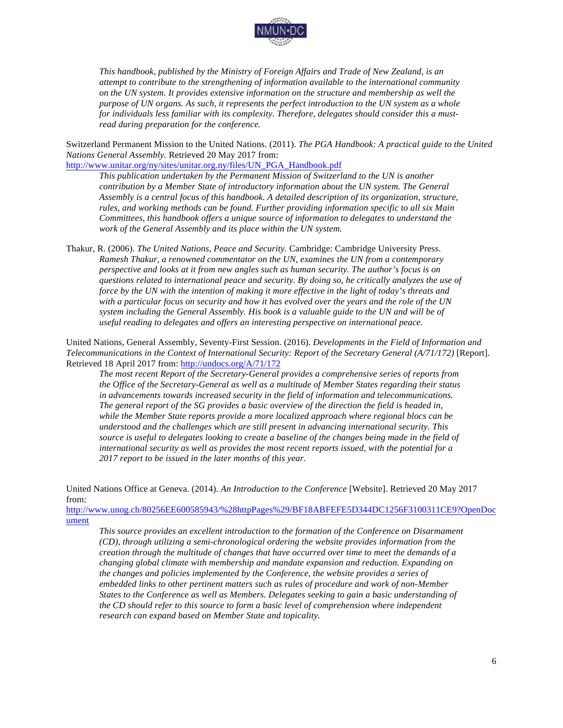

*This handbook, published by the Ministry of Foreign Affairs and Trade of New Zealand, is an attempt to contribute to the strengthening of information available to the international community on the UN system. It provides extensive information on the structure and membership as well the purpose of UN organs. As such, it represents the perfect introduction to the UN system as a whole for individuals less familiar with its complexity. Therefore, delegates should consider this a mustread during preparation for the conference.*

Switzerland Permanent Mission to the United Nations. (2011). *The PGA Handbook: A practical guide to the United Nations General Assembly.* Retrieved 20 May 2017 from:

http://www.unitar.org/ny/sites/unitar.org.ny/files/UN\_PGA\_Handbook.pdf

*This publication undertaken by the Permanent Mission of Switzerland to the UN is another contribution by a Member State of introductory information about the UN system. The General Assembly is a central focus of this handbook. A detailed description of its organization, structure, rules, and working methods can be found. Further providing information specific to all six Main Committees, this handbook offers a unique source of information to delegates to understand the work of the General Assembly and its place within the UN system.*

Thakur, R. (2006). *The United Nations, Peace and Security.* Cambridge: Cambridge University Press. *Ramesh Thakur, a renowned commentator on the UN, examines the UN from a contemporary perspective and looks at it from new angles such as human security. The author's focus is on questions related to international peace and security. By doing so, he critically analyzes the use of force by the UN with the intention of making it more effective in the light of today's threats and with a particular focus on security and how it has evolved over the years and the role of the UN system including the General Assembly. His book is a valuable guide to the UN and will be of useful reading to delegates and offers an interesting perspective on international peace.*

United Nations, General Assembly, Seventy-First Session. (2016). *Developments in the Field of Information and Telecommunications in the Context of International Security: Report of the Secretary General (A/71/172)* [Report]. Retrieved 18 April 2017 from: http://undocs.org/A/71/172

*The most recent Report of the Secretary-General provides a comprehensive series of reports from the Office of the Secretary-General as well as a multitude of Member States regarding their status in advancements towards increased security in the field of information and telecommunications. The general report of the SG provides a basic overview of the direction the field is headed in, while the Member State reports provide a more localized approach where regional blocs can be understood and the challenges which are still present in advancing international security. This source is useful to delegates looking to create a baseline of the changes being made in the field of international security as well as provides the most recent reports issued, with the potential for a 2017 report to be issued in the later months of this year.* 

United Nations Office at Geneva. (2014). *An Introduction to the Conference* [Website]. Retrieved 20 May 2017 from:

http://www.unog.ch/80256EE600585943/%28httpPages%29/BF18ABFEFE5D344DC1256F3100311CE9?OpenDoc ument

*This source provides an excellent introduction to the formation of the Conference on Disarmament (CD), through utilizing a semi-chronological ordering the website provides information from the creation through the multitude of changes that have occurred over time to meet the demands of a changing global climate with membership and mandate expansion and reduction. Expanding on the changes and policies implemented by the Conference, the website provides a series of embedded links to other pertinent matters such as rules of procedure and work of non-Member States to the Conference as well as Members. Delegates seeking to gain a basic understanding of the CD should refer to this source to form a basic level of comprehension where independent research can expand based on Member State and topicality.*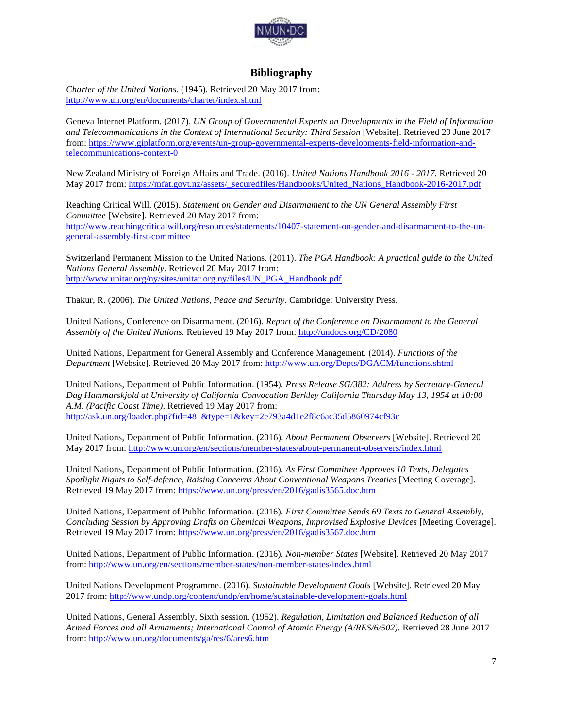

#### **Bibliography**

*Charter of the United Nations.* (1945). Retrieved 20 May 2017 from: http://www.un.org/en/documents/charter/index.shtml

Geneva Internet Platform. (2017). *UN Group of Governmental Experts on Developments in the Field of Information and Telecommunications in the Context of International Security: Third Session* [Website]. Retrieved 29 June 2017 from: https://www.giplatform.org/events/un-group-governmental-experts-developments-field-information-andtelecommunications-context-0

New Zealand Ministry of Foreign Affairs and Trade. (2016). *United Nations Handbook 2016 - 2017.* Retrieved 20 May 2017 from: https://mfat.govt.nz/assets/\_securedfiles/Handbooks/United\_Nations\_Handbook-2016-2017.pdf

Reaching Critical Will. (2015). *Statement on Gender and Disarmament to the UN General Assembly First Committee* [Website]. Retrieved 20 May 2017 from: http://www.reachingcriticalwill.org/resources/statements/10407-statement-on-gender-and-disarmament-to-the-ungeneral-assembly-first-committee

Switzerland Permanent Mission to the United Nations. (2011). *The PGA Handbook: A practical guide to the United Nations General Assembly.* Retrieved 20 May 2017 from: http://www.unitar.org/ny/sites/unitar.org.ny/files/UN\_PGA\_Handbook.pdf

Thakur, R. (2006). *The United Nations, Peace and Security.* Cambridge: University Press.

United Nations, Conference on Disarmament. (2016). *Report of the Conference on Disarmament to the General Assembly of the United Nations.* Retrieved 19 May 2017 from: http://undocs.org/CD/2080

United Nations, Department for General Assembly and Conference Management. (2014). *Functions of the Department* [Website]. Retrieved 20 May 2017 from: http://www.un.org/Depts/DGACM/functions.shtml

United Nations, Department of Public Information. (1954). *Press Release SG/382: Address by Secretary-General Dag Hammarskjold at University of California Convocation Berkley California Thursday May 13, 1954 at 10:00 A.M. (Pacific Coast Time)*. Retrieved 19 May 2017 from: http://ask.un.org/loader.php?fid=481&type=1&key=2e793a4d1e2f8c6ac35d5860974cf93c

United Nations, Department of Public Information. (2016). *About Permanent Observers* [Website]. Retrieved 20 May 2017 from: http://www.un.org/en/sections/member-states/about-permanent-observers/index.html

United Nations, Department of Public Information. (2016). *As First Committee Approves 10 Texts, Delegates Spotlight Rights to Self-defence, Raising Concerns About Conventional Weapons Treaties* [Meeting Coverage]. Retrieved 19 May 2017 from: https://www.un.org/press/en/2016/gadis3565.doc.htm

United Nations, Department of Public Information. (2016). *First Committee Sends 69 Texts to General Assembly, Concluding Session by Approving Drafts on Chemical Weapons, Improvised Explosive Devices* [Meeting Coverage]. Retrieved 19 May 2017 from: https://www.un.org/press/en/2016/gadis3567.doc.htm

United Nations, Department of Public Information. (2016). *Non-member States* [Website]. Retrieved 20 May 2017 from: http://www.un.org/en/sections/member-states/non-member-states/index.html

United Nations Development Programme. (2016). *Sustainable Development Goals* [Website]. Retrieved 20 May 2017 from: http://www.undp.org/content/undp/en/home/sustainable-development-goals.html

United Nations, General Assembly, Sixth session. (1952). *Regulation, Limitation and Balanced Reduction of all Armed Forces and all Armaments; International Control of Atomic Energy (A/RES/6/502).* Retrieved 28 June 2017 from: http://www.un.org/documents/ga/res/6/ares6.htm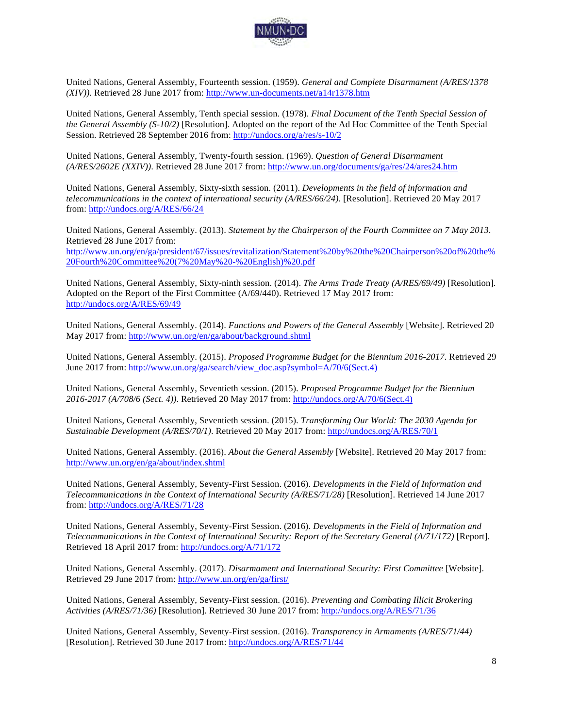

United Nations, General Assembly, Fourteenth session. (1959). *General and Complete Disarmament (A/RES/1378 (XIV)).* Retrieved 28 June 2017 from: http://www.un-documents.net/a14r1378.htm

United Nations, General Assembly, Tenth special session. (1978). *Final Document of the Tenth Special Session of the General Assembly (S-10/2)* [Resolution]. Adopted on the report of the Ad Hoc Committee of the Tenth Special Session. Retrieved 28 September 2016 from: http://undocs.org/a/res/s-10/2

United Nations, General Assembly, Twenty-fourth session. (1969). *Question of General Disarmament (A/RES/2602E (XXIV))*. Retrieved 28 June 2017 from: http://www.un.org/documents/ga/res/24/ares24.htm

United Nations, General Assembly, Sixty-sixth session. (2011). *Developments in the field of information and telecommunications in the context of international security (A/RES/66/24)*. [Resolution]. Retrieved 20 May 2017 from: http://undocs.org/A/RES/66/24

United Nations, General Assembly. (2013). *Statement by the Chairperson of the Fourth Committee on 7 May 2013*. Retrieved 28 June 2017 from: http://www.un.org/en/ga/president/67/issues/revitalization/Statement%20by%20the%20Chairperson%20of%20the% 20Fourth%20Committee%20(7%20May%20-%20English)%20.pdf

United Nations, General Assembly, Sixty-ninth session. (2014). *The Arms Trade Treaty (A/RES/69/49)* [Resolution]. Adopted on the Report of the First Committee (A/69/440). Retrieved 17 May 2017 from: http://undocs.org/A/RES/69/49

United Nations, General Assembly. (2014). *Functions and Powers of the General Assembly* [Website]. Retrieved 20 May 2017 from: http://www.un.org/en/ga/about/background.shtml

United Nations, General Assembly. (2015). *Proposed Programme Budget for the Biennium 2016-2017*. Retrieved 29 June 2017 from: http://www.un.org/ga/search/view\_doc.asp?symbol=A/70/6(Sect.4)

United Nations, General Assembly, Seventieth session. (2015). *Proposed Programme Budget for the Biennium 2016-2017 (A/708/6 (Sect. 4))*. Retrieved 20 May 2017 from: http://undocs.org/A/70/6(Sect.4)

United Nations, General Assembly, Seventieth session. (2015). *Transforming Our World: The 2030 Agenda for Sustainable Development (A/RES/70/1)*. Retrieved 20 May 2017 from: http://undocs.org/A/RES/70/1

United Nations, General Assembly. (2016). *About the General Assembly* [Website]. Retrieved 20 May 2017 from: http://www.un.org/en/ga/about/index.shtml

United Nations, General Assembly, Seventy-First Session. (2016). *Developments in the Field of Information and Telecommunications in the Context of International Security (A/RES/71/28)* [Resolution]. Retrieved 14 June 2017 from: http://undocs.org/A/RES/71/28

United Nations, General Assembly, Seventy-First Session. (2016). *Developments in the Field of Information and Telecommunications in the Context of International Security: Report of the Secretary General (A/71/172)* [Report]. Retrieved 18 April 2017 from: http://undocs.org/A/71/172

United Nations, General Assembly. (2017). *Disarmament and International Security: First Committee* [Website]. Retrieved 29 June 2017 from: http://www.un.org/en/ga/first/

United Nations, General Assembly, Seventy-First session. (2016). *Preventing and Combating Illicit Brokering Activities (A/RES/71/36)* [Resolution]. Retrieved 30 June 2017 from: http://undocs.org/A/RES/71/36

United Nations, General Assembly, Seventy-First session. (2016). *Transparency in Armaments (A/RES/71/44)* [Resolution]. Retrieved 30 June 2017 from: http://undocs.org/A/RES/71/44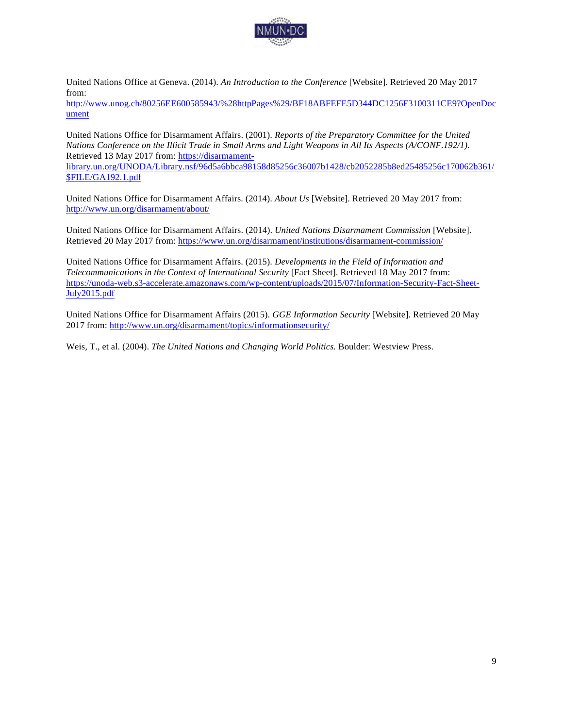

United Nations Office at Geneva. (2014). *An Introduction to the Conference* [Website]. Retrieved 20 May 2017 from:

http://www.unog.ch/80256EE600585943/%28httpPages%29/BF18ABFEFE5D344DC1256F3100311CE9?OpenDoc ument

United Nations Office for Disarmament Affairs. (2001). *Reports of the Preparatory Committee for the United Nations Conference on the Illicit Trade in Small Arms and Light Weapons in All Its Aspects (A/CONF.192/1).*  Retrieved 13 May 2017 from: https://disarmament-

library.un.org/UNODA/Library.nsf/96d5a6bbca98158d85256c36007b1428/cb2052285b8ed25485256c170062b361/ \$FILE/GA192.1.pdf

United Nations Office for Disarmament Affairs. (2014). *About Us* [Website]. Retrieved 20 May 2017 from: http://www.un.org/disarmament/about/

United Nations Office for Disarmament Affairs. (2014). *United Nations Disarmament Commission* [Website]. Retrieved 20 May 2017 from: https://www.un.org/disarmament/institutions/disarmament-commission/

United Nations Office for Disarmament Affairs. (2015). *Developments in the Field of Information and Telecommunications in the Context of International Security* [Fact Sheet]. Retrieved 18 May 2017 from: https://unoda-web.s3-accelerate.amazonaws.com/wp-content/uploads/2015/07/Information-Security-Fact-Sheet-July2015.pdf

United Nations Office for Disarmament Affairs (2015). *GGE Information Security* [Website]. Retrieved 20 May 2017 from: http://www.un.org/disarmament/topics/informationsecurity/

Weis, T., et al. (2004). *The United Nations and Changing World Politics.* Boulder: Westview Press.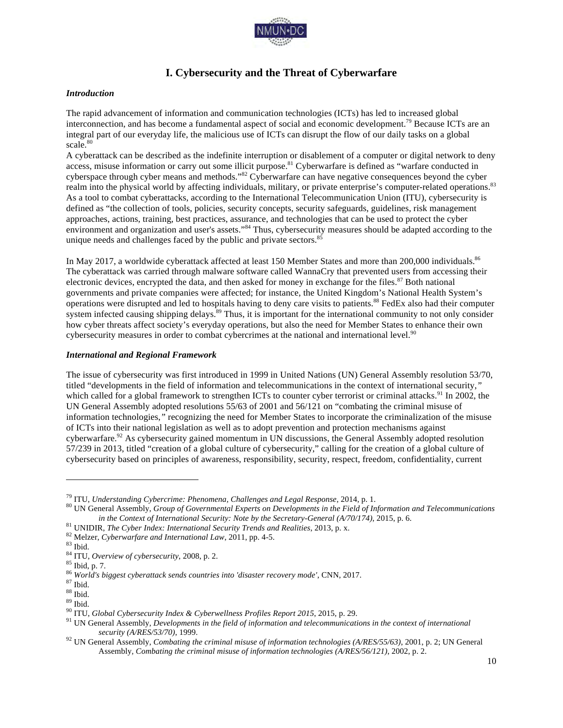

#### **I. Cybersecurity and the Threat of Cyberwarfare**

#### *Introduction*

The rapid advancement of information and communication technologies (ICTs) has led to increased global interconnection, and has become a fundamental aspect of social and economic development.79 Because ICTs are an integral part of our everyday life, the malicious use of ICTs can disrupt the flow of our daily tasks on a global scale.<sup>80</sup>

A cyberattack can be described as the indefinite interruption or disablement of a computer or digital network to deny access, misuse information or carry out some illicit purpose.<sup>81</sup> Cyberwarfare is defined as "warfare conducted in cyberspace through cyber means and methods."<sup>82</sup> Cyberwarfare can have negative consequences beyond the cyber realm into the physical world by affecting individuals, military, or private enterprise's computer-related operations.<sup>83</sup> As a tool to combat cyberattacks, according to the International Telecommunication Union (ITU), cybersecurity is defined as "the collection of tools, policies, security concepts, security safeguards, guidelines, risk management approaches, actions, training, best practices, assurance, and technologies that can be used to protect the cyber environment and organization and user's assets."<sup>84</sup> Thus, cybersecurity measures should be adapted according to the unique needs and challenges faced by the public and private sectors.<sup>85</sup>

In May 2017, a worldwide cyberattack affected at least 150 Member States and more than 200,000 individuals.<sup>86</sup> The cyberattack was carried through malware software called WannaCry that prevented users from accessing their electronic devices, encrypted the data, and then asked for money in exchange for the files.<sup>87</sup> Both national governments and private companies were affected; for instance, the United Kingdom's National Health System's operations were disrupted and led to hospitals having to deny care visits to patients.<sup>88</sup> FedEx also had their computer system infected causing shipping delays.<sup>89</sup> Thus, it is important for the international community to not only consider how cyber threats affect society's everyday operations, but also the need for Member States to enhance their own cybersecurity measures in order to combat cybercrimes at the national and international level.<sup>90</sup>

#### *International and Regional Framework*

The issue of cybersecurity was first introduced in 1999 in United Nations (UN) General Assembly resolution 53/70, titled "developments in the field of information and telecommunications in the context of international security,*"* which called for a global framework to strengthen ICTs to counter cyber terrorist or criminal attacks.<sup>91</sup> In 2002, the UN General Assembly adopted resolutions 55/63 of 2001 and 56/121 on "combating the criminal misuse of information technologies,*"* recognizing the need for Member States to incorporate the criminalization of the misuse of ICTs into their national legislation as well as to adopt prevention and protection mechanisms against cyberwarfare.<sup>92</sup> As cybersecurity gained momentum in UN discussions, the General Assembly adopted resolution 57/239 in 2013, titled "creation of a global culture of cybersecurity," calling for the creation of a global culture of cybersecurity based on principles of awareness, responsibility, security, respect, freedom, confidentiality, current

<sup>&</sup>lt;sup>79</sup> ITU, Understanding Cybercrime: Phenomena, Challenges and Legal Response, 2014, p. 1.<br><sup>80</sup> UN General Assembly, Group of Governmental Experts on Developments in the Field of Information and Telecommunications

*in the Context of International Security: Note by the Secretary-General (A/70/174), 2015, p. 6.*<br><sup>81</sup> UNDIR, *The Cyber Index: International Security Trends and Realities, 2013, p. x.*<br><sup>82</sup> Melzer, *Cyberwarfare and Inter* 

*security (A/RES/53/70)*, 1999. <sup>92</sup> UN General Assembly*, Combating the criminal misuse of information technologies (A/RES/55/63)*, 2001, p. 2; UN General Assembly*, Combating the criminal misuse of information technologies (A/RES/56/121)*, 2002, p. 2.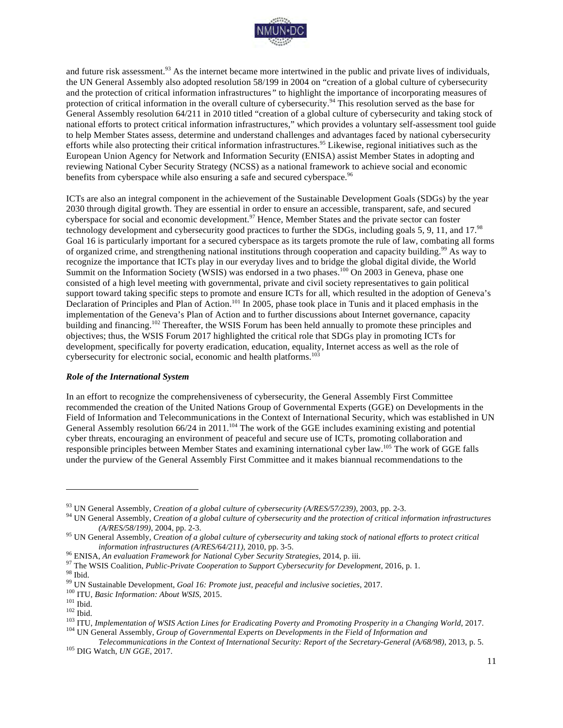

and future risk assessment.<sup>93</sup> As the internet became more intertwined in the public and private lives of individuals, the UN General Assembly also adopted resolution 58/199 in 2004 on "creation of a global culture of cybersecurity and the protection of critical information infrastructures*"* to highlight the importance of incorporating measures of protection of critical information in the overall culture of cybersecurity.<sup>94</sup> This resolution served as the base for General Assembly resolution 64/211 in 2010 titled "creation of a global culture of cybersecurity and taking stock of national efforts to protect critical information infrastructures," which provides a voluntary self-assessment tool guide to help Member States assess, determine and understand challenges and advantages faced by national cybersecurity efforts while also protecting their critical information infrastructures.<sup>95</sup> Likewise, regional initiatives such as the European Union Agency for Network and Information Security (ENISA) assist Member States in adopting and reviewing National Cyber Security Strategy (NCSS) as a national framework to achieve social and economic benefits from cyberspace while also ensuring a safe and secured cyberspace.<sup>96</sup>

ICTs are also an integral component in the achievement of the Sustainable Development Goals (SDGs) by the year 2030 through digital growth. They are essential in order to ensure an accessible, transparent, safe, and secured cyberspace for social and economic development.<sup>97</sup> Hence, Member States and the private sector can foster technology development and cybersecurity good practices to further the SDGs, including goals 5, 9, 11, and 17.<sup>98</sup> Goal 16 is particularly important for a secured cyberspace as its targets promote the rule of law, combating all forms of organized crime, and strengthening national institutions through cooperation and capacity building.<sup>99</sup> As way to recognize the importance that ICTs play in our everyday lives and to bridge the global digital divide, the World Summit on the Information Society (WSIS) was endorsed in a two phases.<sup>100</sup> On 2003 in Geneva, phase one consisted of a high level meeting with governmental, private and civil society representatives to gain political support toward taking specific steps to promote and ensure ICTs for all, which resulted in the adoption of Geneva's Declaration of Principles and Plan of Action.<sup>101</sup> In 2005, phase took place in Tunis and it placed emphasis in the implementation of the Geneva's Plan of Action and to further discussions about Internet governance, capacity building and financing.<sup>102</sup> Thereafter, the WSIS Forum has been held annually to promote these principles and objectives; thus, the WSIS Forum 2017 highlighted the critical role that SDGs play in promoting ICTs for development, specifically for poverty eradication, education, equality, Internet access as well as the role of cybersecurity for electronic social, economic and health platforms.<sup>103</sup>

#### *Role of the International System*

In an effort to recognize the comprehensiveness of cybersecurity, the General Assembly First Committee recommended the creation of the United Nations Group of Governmental Experts (GGE) on Developments in the Field of Information and Telecommunications in the Context of International Security, which was established in UN General Assembly resolution 66/24 in 2011.<sup>104</sup> The work of the GGE includes examining existing and potential cyber threats, encouraging an environment of peaceful and secure use of ICTs, promoting collaboration and responsible principles between Member States and examining international cyber law.105 The work of GGE falls under the purview of the General Assembly First Committee and it makes biannual recommendations to the

<sup>&</sup>lt;sup>93</sup> UN General Assembly, *Creation of a global culture of cybersecurity* ( $A/RES/57/239$ ), 2003, pp. 2-3.<br><sup>94</sup> UN General Assembly, *Creation of a global culture of cybersecurity and the protection of critical information (A/RES/58/199)*, 2004, pp. 2-3. <sup>95</sup> UN General Assembly*, Creation of a global culture of cybersecurity and taking stock of national efforts to protect critical* 

information infrastructures (A/RES/64/211), 2010, pp. 3-5.<br><sup>96</sup> ENISA, An evaluation Framework for National Cyber Security Strategies, 2014, p. iii.<br><sup>97</sup> The WSIS Coalition, *Public-Private Cooperation to Support Cybersecu* 

*Telecommunications in the Context of International Security: Report of the Secretary-General (A/68/98)*, 2013, p. 5. <sup>105</sup> DIG Watch, *UN GGE*, 2017.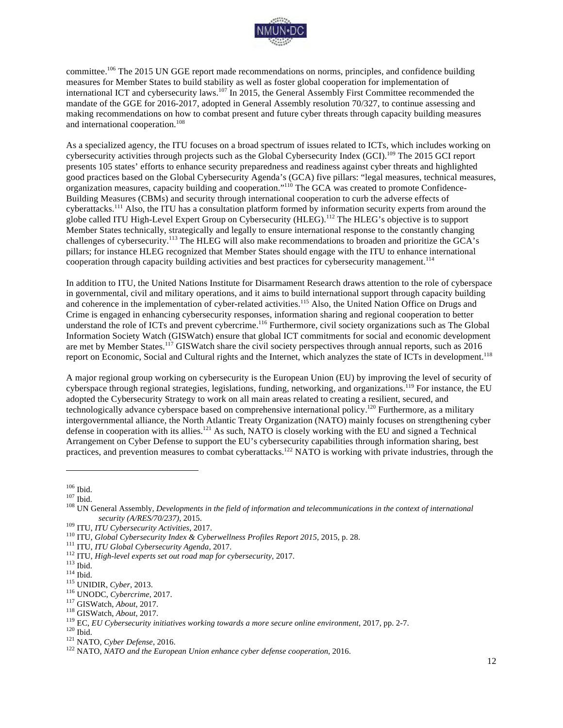

committee.<sup>106</sup> The 2015 UN GGE report made recommendations on norms, principles, and confidence building measures for Member States to build stability as well as foster global cooperation for implementation of international ICT and cybersecurity laws.<sup>107</sup> In 2015, the General Assembly First Committee recommended the mandate of the GGE for 2016-2017, adopted in General Assembly resolution 70/327, to continue assessing and making recommendations on how to combat present and future cyber threats through capacity building measures and international cooperation.<sup>108</sup>

As a specialized agency, the ITU focuses on a broad spectrum of issues related to ICTs, which includes working on cybersecurity activities through projects such as the Global Cybersecurity Index (GCI).109 The 2015 GCI report presents 105 states' efforts to enhance security preparedness and readiness against cyber threats and highlighted good practices based on the Global Cybersecurity Agenda's (GCA) five pillars: "legal measures, technical measures, organization measures, capacity building and cooperation."<sup>110</sup> The GCA was created to promote Confidence-Building Measures (CBMs) and security through international cooperation to curb the adverse effects of cyberattacks.<sup>111</sup> Also, the ITU has a consultation platform formed by information security experts from around the globe called ITU High-Level Expert Group on Cybersecurity (HLEG).<sup>112</sup> The HLEG's objective is to support Member States technically, strategically and legally to ensure international response to the constantly changing challenges of cybersecurity.<sup>113</sup> The HLEG will also make recommendations to broaden and prioritize the GCA's pillars; for instance HLEG recognized that Member States should engage with the ITU to enhance international cooperation through capacity building activities and best practices for cybersecurity management.<sup>114</sup>

In addition to ITU, the United Nations Institute for Disarmament Research draws attention to the role of cyberspace in governmental, civil and military operations, and it aims to build international support through capacity building and coherence in the implementation of cyber-related activities.<sup>115</sup> Also, the United Nation Office on Drugs and Crime is engaged in enhancing cybersecurity responses, information sharing and regional cooperation to better understand the role of ICTs and prevent cybercrime.<sup>116</sup> Furthermore, civil society organizations such as The Global Information Society Watch (GISWatch) ensure that global ICT commitments for social and economic development are met by Member States.<sup>117</sup> GISWatch share the civil society perspectives through annual reports, such as 2016 report on Economic, Social and Cultural rights and the Internet, which analyzes the state of ICTs in development.<sup>118</sup>

A major regional group working on cybersecurity is the European Union (EU) by improving the level of security of cyberspace through regional strategies, legislations, funding, networking, and organizations.<sup>119</sup> For instance, the EU adopted the Cybersecurity Strategy to work on all main areas related to creating a resilient, secured, and technologically advance cyberspace based on comprehensive international policy.120 Furthermore, as a military intergovernmental alliance, the North Atlantic Treaty Organization (NATO) mainly focuses on strengthening cyber defense in cooperation with its allies.<sup>121</sup> As such, NATO is closely working with the EU and signed a Technical Arrangement on Cyber Defense to support the EU's cybersecurity capabilities through information sharing, best practices, and prevention measures to combat cyberattacks.<sup>122</sup> NATO is working with private industries, through the

<sup>&</sup>lt;sup>106</sup> Ibid.<br><sup>107</sup> Ibid.<br><sup>108</sup> UN General Assembly, *Developments in the field of information and telecommunications in the context of international* 

security (A/RES/70/237), 2015.<br><sup>109</sup> ITU, *ITU Cybersecurity Activities*, 2017.<br><sup>110</sup> ITU, *Global Cybersecurity halex & Cyberwellness Profiles Report 2015*, 2015, p. 28.<br><sup>111</sup> ITU, *Global Cybersecurity Agenda*, 2017.<br><sup>11</sup>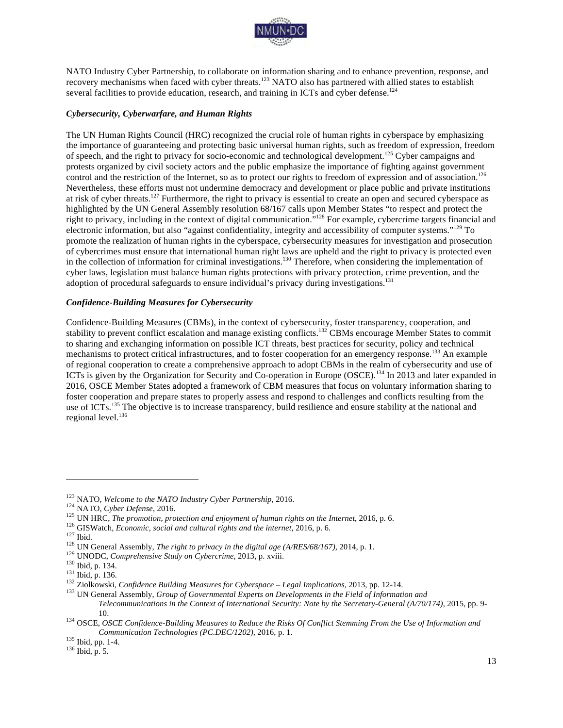

NATO Industry Cyber Partnership, to collaborate on information sharing and to enhance prevention, response, and recovery mechanisms when faced with cyber threats.<sup>123</sup> NATO also has partnered with allied states to establish several facilities to provide education, research, and training in ICTs and cyber defense.<sup>124</sup>

#### *Cybersecurity, Cyberwarfare, and Human Rights*

The UN Human Rights Council (HRC) recognized the crucial role of human rights in cyberspace by emphasizing the importance of guaranteeing and protecting basic universal human rights, such as freedom of expression, freedom of speech, and the right to privacy for socio-economic and technological development.<sup>125</sup> Cyber campaigns and protests organized by civil society actors and the public emphasize the importance of fighting against government control and the restriction of the Internet, so as to protect our rights to freedom of expression and of association.<sup>126</sup> Nevertheless, these efforts must not undermine democracy and development or place public and private institutions at risk of cyber threats.<sup>127</sup> Furthermore, the right to privacy is essential to create an open and secured cyberspace as highlighted by the UN General Assembly resolution 68/167 calls upon Member States "to respect and protect the right to privacy, including in the context of digital communication."<sup>128</sup> For example, cybercrime targets financial and electronic information, but also "against confidentiality, integrity and accessibility of computer systems."<sup>129</sup> To promote the realization of human rights in the cyberspace, cybersecurity measures for investigation and prosecution of cybercrimes must ensure that international human right laws are upheld and the right to privacy is protected even in the collection of information for criminal investigations.<sup>130</sup> Therefore, when considering the implementation of cyber laws, legislation must balance human rights protections with privacy protection, crime prevention, and the adoption of procedural safeguards to ensure individual's privacy during investigations.<sup>131</sup>

#### *Confidence-Building Measures for Cybersecurity*

Confidence-Building Measures (CBMs), in the context of cybersecurity, foster transparency, cooperation, and stability to prevent conflict escalation and manage existing conflicts.<sup>132</sup> CBMs encourage Member States to commit to sharing and exchanging information on possible ICT threats, best practices for security, policy and technical mechanisms to protect critical infrastructures, and to foster cooperation for an emergency response.<sup>133</sup> An example of regional cooperation to create a comprehensive approach to adopt CBMs in the realm of cybersecurity and use of ICTs is given by the Organization for Security and Co-operation in Europe (OSCE).<sup>134</sup> In 2013 and later expanded in 2016, OSCE Member States adopted a framework of CBM measures that focus on voluntary information sharing to foster cooperation and prepare states to properly assess and respond to challenges and conflicts resulting from the use of ICTs.<sup>135</sup> The objective is to increase transparency, build resilience and ensure stability at the national and regional level.<sup>136</sup>

<sup>&</sup>lt;sup>123</sup> NATO, *Welcome to the NATO Industry Cyber Partnership*, 2016.<br><sup>124</sup> NATO, *Cyber Defense*, 2016.<br><sup>125</sup> UN HRC, *The promotion, protection and enjoyment of human rights on the Internet*, 2016, p. 6.<br><sup>125</sup> UN HRC, *Th* 

*Telecommunications in the Context of International Security: Note by the Secretary-General (A/70/174)*, 2015, pp. 9-

<sup>10.</sup> <sup>134</sup> OSCE, *OSCE Confidence-Building Measures to Reduce the Risks Of Conflict Stemming From the Use of Information and Communication Technologies (PC.DEC/1202)*, 2016, p. 1.<br><sup>135</sup> Ibid, pp. 1-4.<br><sup>136</sup> Ibid, p. 5.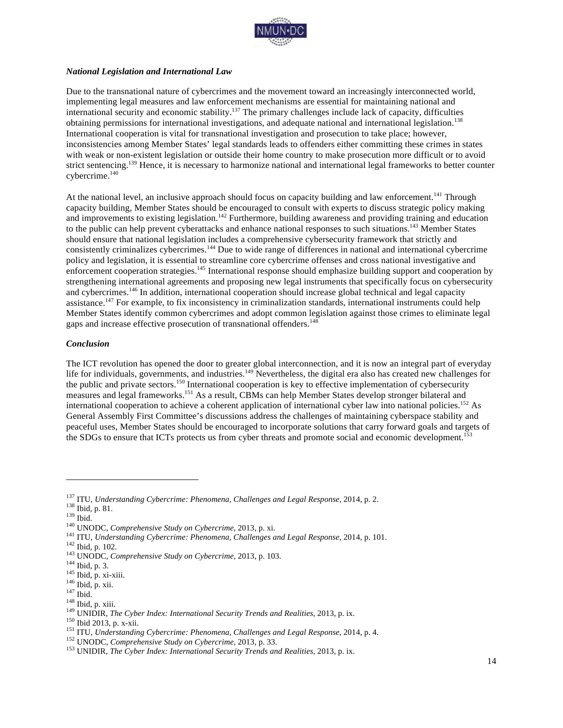

#### *National Legislation and International Law*

Due to the transnational nature of cybercrimes and the movement toward an increasingly interconnected world, implementing legal measures and law enforcement mechanisms are essential for maintaining national and international security and economic stability.<sup>137</sup> The primary challenges include lack of capacity, difficulties obtaining permissions for international investigations, and adequate national and international legislation.<sup>138</sup> International cooperation is vital for transnational investigation and prosecution to take place; however, inconsistencies among Member States' legal standards leads to offenders either committing these crimes in states with weak or non-existent legislation or outside their home country to make prosecution more difficult or to avoid strict sentencing.<sup>139</sup> Hence, it is necessary to harmonize national and international legal frameworks to better counter cybercrime.<sup>140</sup>

At the national level, an inclusive approach should focus on capacity building and law enforcement.<sup>141</sup> Through capacity building, Member States should be encouraged to consult with experts to discuss strategic policy making and improvements to existing legislation.<sup>142</sup> Furthermore, building awareness and providing training and education to the public can help prevent cyberattacks and enhance national responses to such situations.143 Member States should ensure that national legislation includes a comprehensive cybersecurity framework that strictly and consistently criminalizes cybercrimes.<sup>144</sup> Due to wide range of differences in national and international cybercrime policy and legislation, it is essential to streamline core cybercrime offenses and cross national investigative and enforcement cooperation strategies.145 International response should emphasize building support and cooperation by strengthening international agreements and proposing new legal instruments that specifically focus on cybersecurity and cybercrimes.<sup>146</sup> In addition, international cooperation should increase global technical and legal capacity assistance.<sup>147</sup> For example, to fix inconsistency in criminalization standards, international instruments could help Member States identify common cybercrimes and adopt common legislation against those crimes to eliminate legal gaps and increase effective prosecution of transnational offenders.<sup>148</sup>

#### *Conclusion*

The ICT revolution has opened the door to greater global interconnection, and it is now an integral part of everyday life for individuals, governments, and industries.<sup>149</sup> Nevertheless, the digital era also has created new challenges for the public and private sectors.<sup>150</sup> International cooperation is key to effective implementation of cybersecurity measures and legal frameworks.<sup>151</sup> As a result, CBMs can help Member States develop stronger bilateral and international cooperation to achieve a coherent application of international cyber law into national policies.<sup>152</sup> As General Assembly First Committee's discussions address the challenges of maintaining cyberspace stability and peaceful uses, Member States should be encouraged to incorporate solutions that carry forward goals and targets of the SDGs to ensure that ICTs protects us from cyber threats and promote social and economic development.<sup>153</sup>

<sup>&</sup>lt;sup>137</sup> ITU, *Understanding Cybercrime: Phenomena, Challenges and Legal Response*, 2014, p. 2.<br><sup>138</sup> Ibid., p. 81.<br><sup>149</sup> Did.<br><sup>140</sup> UNODC, *Comprehensive Study on Cybercrime*, 2013, p. xi.<br><sup>141</sup> ITU, *Understanding Cybercrim*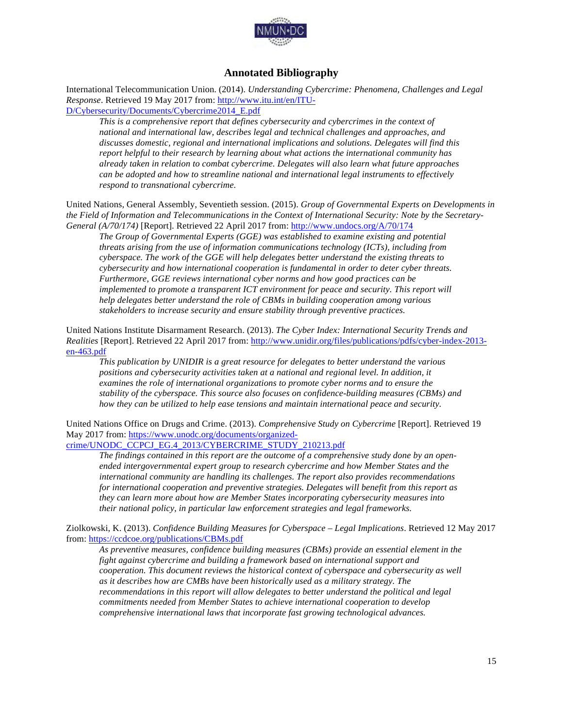

#### **Annotated Bibliography**

International Telecommunication Union. (2014). *Understanding Cybercrime: Phenomena, Challenges and Legal Response*. Retrieved 19 May 2017 from: http://www.itu.int/en/ITU-D/Cybersecurity/Documents/Cybercrime2014\_E.pdf

*This is a comprehensive report that defines cybersecurity and cybercrimes in the context of national and international law, describes legal and technical challenges and approaches, and discusses domestic, regional and international implications and solutions. Delegates will find this report helpful to their research by learning about what actions the international community has already taken in relation to combat cybercrime. Delegates will also learn what future approaches can be adopted and how to streamline national and international legal instruments to effectively respond to transnational cybercrime.* 

United Nations, General Assembly, Seventieth session. (2015). *Group of Governmental Experts on Developments in the Field of Information and Telecommunications in the Context of International Security: Note by the Secretary-General (A/70/174)* [Report]. Retrieved 22 April 2017 from: http://www.undocs.org/A/70/174

*The Group of Governmental Experts (GGE) was established to examine existing and potential threats arising from the use of information communications technology (ICTs), including from cyberspace. The work of the GGE will help delegates better understand the existing threats to cybersecurity and how international cooperation is fundamental in order to deter cyber threats. Furthermore, GGE reviews international cyber norms and how good practices can be implemented to promote a transparent ICT environment for peace and security. This report will help delegates better understand the role of CBMs in building cooperation among various stakeholders to increase security and ensure stability through preventive practices.* 

United Nations Institute Disarmament Research. (2013). *The Cyber Index: International Security Trends and Realities* [Report]. Retrieved 22 April 2017 from: http://www.unidir.org/files/publications/pdfs/cyber-index-2013 en-463.pdf

*This publication by UNIDIR is a great resource for delegates to better understand the various positions and cybersecurity activities taken at a national and regional level. In addition, it examines the role of international organizations to promote cyber norms and to ensure the stability of the cyberspace. This source also focuses on confidence-building measures (CBMs) and how they can be utilized to help ease tensions and maintain international peace and security.* 

United Nations Office on Drugs and Crime. (2013). *Comprehensive Study on Cybercrime* [Report]. Retrieved 19 May 2017 from: https://www.unodc.org/documents/organized-

#### crime/UNODC\_CCPCJ\_EG.4\_2013/CYBERCRIME\_STUDY\_210213.pdf

*The findings contained in this report are the outcome of a comprehensive study done by an openended intergovernmental expert group to research cybercrime and how Member States and the international community are handling its challenges. The report also provides recommendations for international cooperation and preventive strategies. Delegates will benefit from this report as they can learn more about how are Member States incorporating cybersecurity measures into their national policy, in particular law enforcement strategies and legal frameworks.*

Ziolkowski, K. (2013). *Confidence Building Measures for Cyberspace – Legal Implications*. Retrieved 12 May 2017 from: https://ccdcoe.org/publications/CBMs.pdf

*As preventive measures, confidence building measures (CBMs) provide an essential element in the fight against cybercrime and building a framework based on international support and cooperation. This document reviews the historical context of cyberspace and cybersecurity as well as it describes how are CMBs have been historically used as a military strategy. The recommendations in this report will allow delegates to better understand the political and legal commitments needed from Member States to achieve international cooperation to develop comprehensive international laws that incorporate fast growing technological advances.*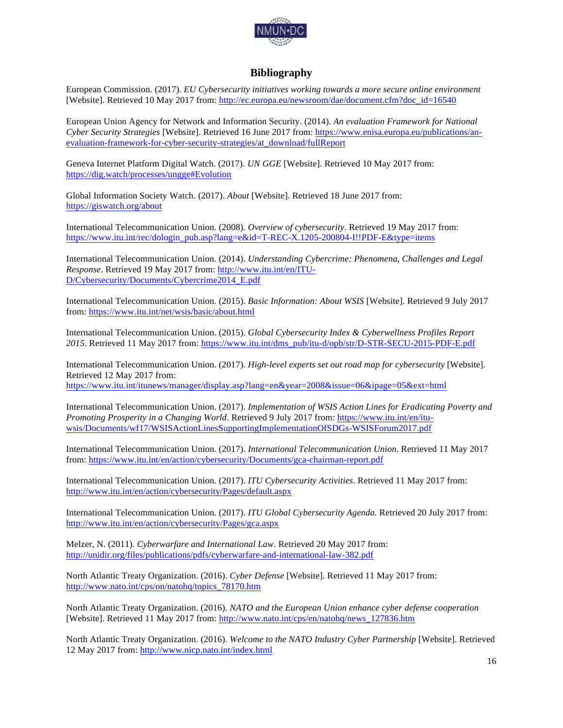

#### **Bibliography**

European Commission. (2017). *EU Cybersecurity initiatives working towards a more secure online environment* [Website]. Retrieved 10 May 2017 from: http://ec.europa.eu/newsroom/dae/document.cfm?doc\_id=16540

European Union Agency for Network and Information Security. (2014). *An evaluation Framework for National Cyber Security Strategies* [Website]. Retrieved 16 June 2017 from: https://www.enisa.europa.eu/publications/anevaluation-framework-for-cyber-security-strategies/at\_download/fullReport

Geneva Internet Platform Digital Watch. (2017). *UN GGE* [Website]. Retrieved 10 May 2017 from: https://dig.watch/processes/ungge#Evolution

Global Information Society Watch. (2017). *About* [Website]. Retrieved 18 June 2017 from: https://giswatch.org/about

International Telecommunication Union. (2008). *Overview of cybersecurity*. Retrieved 19 May 2017 from: https://www.itu.int/rec/dologin\_pub.asp?lang=e&id=T-REC-X.1205-200804-I!!PDF-E&type=items

International Telecommunication Union. (2014). *Understanding Cybercrime: Phenomena, Challenges and Legal Response*. Retrieved 19 May 2017 from: http://www.itu.int/en/ITU-D/Cybersecurity/Documents/Cybercrime2014\_E.pdf

International Telecommunication Union. (2015). *Basic Information: About WSIS* [Website]. Retrieved 9 July 2017 from: https://www.itu.int/net/wsis/basic/about.html

International Telecommunication Union. (2015). *Global Cybersecurity Index & Cyberwellness Profiles Report 2015*. Retrieved 11 May 2017 from: https://www.itu.int/dms\_pub/itu-d/opb/str/D-STR-SECU-2015-PDF-E.pdf

International Telecommunication Union. (2017). *High-level experts set out road map for cybersecurity* [Website]. Retrieved 12 May 2017 from: https://www.itu.int/itunews/manager/display.asp?lang=en&year=2008&issue=06&ipage=05&ext=html

International Telecommunication Union. (2017). *Implementation of WSIS Action Lines for Eradicating Poverty and Promoting Prosperity in a Changing World*. Retrieved 9 July 2017 from: https://www.itu.int/en/ituwsis/Documents/wf17/WSISActionLinesSupportingImplementationOfSDGs-WSISForum2017.pdf

International Telecommunication Union. (2017). *International Telecommunication Union*. Retrieved 11 May 2017 from: https://www.itu.int/en/action/cybersecurity/Documents/gca-chairman-report.pdf

International Telecommunication Union. (2017). *ITU Cybersecurity Activities*. Retrieved 11 May 2017 from: http://www.itu.int/en/action/cybersecurity/Pages/default.aspx

International Telecommunication Union. (2017). *ITU Global Cybersecurity Agenda.* Retrieved 20 July 2017 from: http://www.itu.int/en/action/cybersecurity/Pages/gca.aspx

Melzer, N. (2011). *Cyberwarfare and International Law*. Retrieved 20 May 2017 from: http://unidir.org/files/publications/pdfs/cyberwarfare-and-international-law-382.pdf

North Atlantic Treaty Organization. (2016). *Cyber Defense* [Website]. Retrieved 11 May 2017 from: http://www.nato.int/cps/on/natohq/topics\_78170.htm

North Atlantic Treaty Organization. (2016). *NATO and the European Union enhance cyber defense cooperation* [Website]. Retrieved 11 May 2017 from: http://www.nato.int/cps/en/natohq/news\_127836.htm

North Atlantic Treaty Organization. (2016). *Welcome to the NATO Industry Cyber Partnership* [Website]. Retrieved 12 May 2017 from: http://www.nicp.nato.int/index.html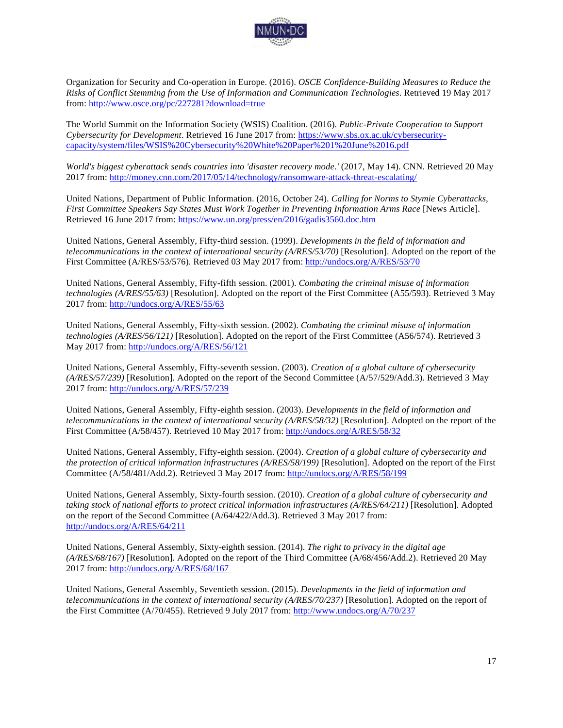

Organization for Security and Co-operation in Europe. (2016). *OSCE Confidence-Building Measures to Reduce the Risks of Conflict Stemming from the Use of Information and Communication Technologies*. Retrieved 19 May 2017 from: http://www.osce.org/pc/227281?download=true

The World Summit on the Information Society (WSIS) Coalition. (2016). *Public-Private Cooperation to Support Cybersecurity for Development*. Retrieved 16 June 2017 from: https://www.sbs.ox.ac.uk/cybersecuritycapacity/system/files/WSIS%20Cybersecurity%20White%20Paper%201%20June%2016.pdf

*World's biggest cyberattack sends countries into 'disaster recovery mode.'* (2017, May 14). CNN. Retrieved 20 May 2017 from: http://money.cnn.com/2017/05/14/technology/ransomware-attack-threat-escalating/

United Nations, Department of Public Information. (2016, October 24). *Calling for Norms to Stymie Cyberattacks, First Committee Speakers Say States Must Work Together in Preventing Information Arms Race* [News Article]. Retrieved 16 June 2017 from: https://www.un.org/press/en/2016/gadis3560.doc.htm

United Nations, General Assembly, Fifty-third session. (1999). *Developments in the field of information and telecommunications in the context of international security (A/RES/53/70)* [Resolution]. Adopted on the report of the First Committee (A/RES/53/576). Retrieved 03 May 2017 from: http://undocs.org/A/RES/53/70

United Nations, General Assembly, Fifty-fifth session. (2001). *Combating the criminal misuse of information technologies (A/RES/55/63)* [Resolution]. Adopted on the report of the First Committee (A55/593). Retrieved 3 May 2017 from: http://undocs.org/A/RES/55/63

United Nations, General Assembly, Fifty-sixth session. (2002). *Combating the criminal misuse of information technologies (A/RES/56/121)* [Resolution]. Adopted on the report of the First Committee (A56/574). Retrieved 3 May 2017 from: http://undocs.org/A/RES/56/121

United Nations, General Assembly, Fifty-seventh session. (2003). *Creation of a global culture of cybersecurity (A/RES/57/239)* [Resolution]. Adopted on the report of the Second Committee (A/57/529/Add.3). Retrieved 3 May 2017 from: http://undocs.org/A/RES/57/239

United Nations, General Assembly, Fifty-eighth session. (2003). *Developments in the field of information and telecommunications in the context of international security (A/RES/58/32)* [Resolution]. Adopted on the report of the First Committee (A/58/457). Retrieved 10 May 2017 from: http://undocs.org/A/RES/58/32

United Nations, General Assembly, Fifty-eighth session. (2004). *Creation of a global culture of cybersecurity and the protection of critical information infrastructures (A/RES/58/199)* [Resolution]. Adopted on the report of the First Committee (A/58/481/Add.2). Retrieved 3 May 2017 from: http://undocs.org/A/RES/58/199

United Nations, General Assembly, Sixty-fourth session. (2010). *Creation of a global culture of cybersecurity and taking stock of national efforts to protect critical information infrastructures (A/RES/64/211)* [Resolution]. Adopted on the report of the Second Committee (A/64/422/Add.3). Retrieved 3 May 2017 from: http://undocs.org/A/RES/64/211

United Nations, General Assembly, Sixty-eighth session. (2014). *The right to privacy in the digital age (A/RES/68/167)* [Resolution]. Adopted on the report of the Third Committee (A/68/456/Add.2). Retrieved 20 May 2017 from: http://undocs.org/A/RES/68/167

United Nations, General Assembly, Seventieth session. (2015). *Developments in the field of information and telecommunications in the context of international security (A/RES/70/237)* [Resolution]. Adopted on the report of the First Committee (A/70/455). Retrieved 9 July 2017 from: http://www.undocs.org/A/70/237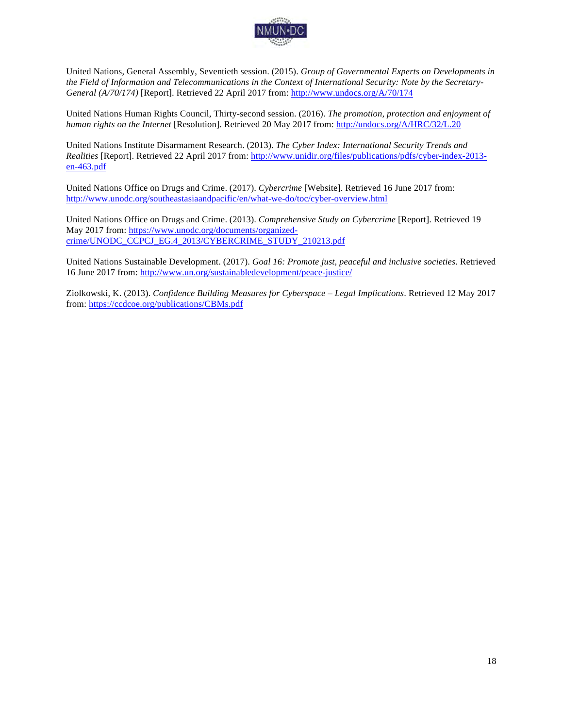

United Nations, General Assembly, Seventieth session. (2015). *Group of Governmental Experts on Developments in the Field of Information and Telecommunications in the Context of International Security: Note by the Secretary-General (A/70/174)* [Report]. Retrieved 22 April 2017 from: http://www.undocs.org/A/70/174

United Nations Human Rights Council, Thirty-second session. (2016). *The promotion, protection and enjoyment of human rights on the Internet* [Resolution]. Retrieved 20 May 2017 from: http://undocs.org/A/HRC/32/L.20

United Nations Institute Disarmament Research. (2013). *The Cyber Index: International Security Trends and Realities* [Report]. Retrieved 22 April 2017 from: http://www.unidir.org/files/publications/pdfs/cyber-index-2013 en-463.pdf

United Nations Office on Drugs and Crime. (2017). *Cybercrime* [Website]. Retrieved 16 June 2017 from: http://www.unodc.org/southeastasiaandpacific/en/what-we-do/toc/cyber-overview.html

United Nations Office on Drugs and Crime. (2013). *Comprehensive Study on Cybercrime* [Report]. Retrieved 19 May 2017 from: https://www.unodc.org/documents/organizedcrime/UNODC\_CCPCJ\_EG.4\_2013/CYBERCRIME\_STUDY\_210213.pdf

United Nations Sustainable Development. (2017). *Goal 16: Promote just, peaceful and inclusive societies*. Retrieved 16 June 2017 from: http://www.un.org/sustainabledevelopment/peace-justice/

Ziolkowski, K. (2013). *Confidence Building Measures for Cyberspace – Legal Implications*. Retrieved 12 May 2017 from: https://ccdcoe.org/publications/CBMs.pdf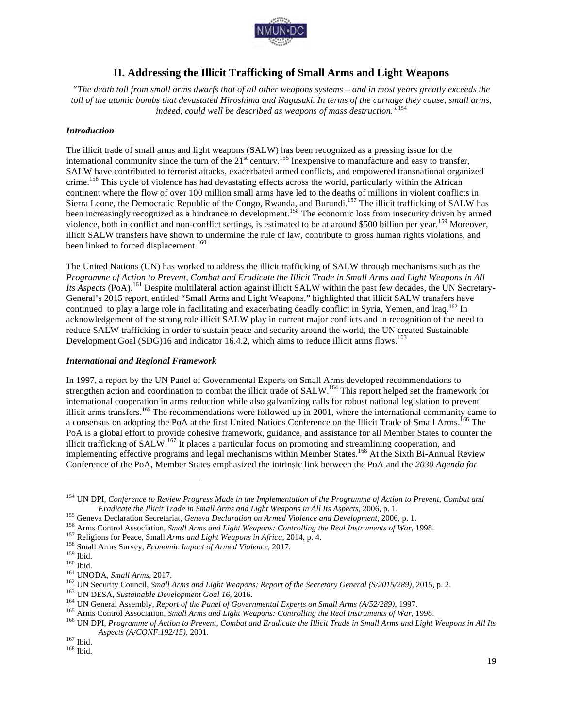

#### **II. Addressing the Illicit Trafficking of Small Arms and Light Weapons**

*"The death toll from small arms dwarfs that of all other weapons systems – and in most years greatly exceeds the*  toll of the atomic bombs that devastated Hiroshima and Nagasaki. In terms of the carnage they cause, small arms, *indeed, could well be described as weapons of mass destruction."*<sup>154</sup>

#### *Introduction*

The illicit trade of small arms and light weapons (SALW) has been recognized as a pressing issue for the international community since the turn of the  $21<sup>st</sup>$  century.<sup>155</sup> Inexpensive to manufacture and easy to transfer, SALW have contributed to terrorist attacks, exacerbated armed conflicts, and empowered transnational organized crime.156 This cycle of violence has had devastating effects across the world, particularly within the African continent where the flow of over 100 million small arms have led to the deaths of millions in violent conflicts in Sierra Leone, the Democratic Republic of the Congo, Rwanda, and Burundi.<sup>157</sup> The illicit trafficking of SALW has been increasingly recognized as a hindrance to development.<sup>158</sup> The economic loss from insecurity driven by armed violence, both in conflict and non-conflict settings, is estimated to be at around \$500 billion per year.<sup>159</sup> Moreover, illicit SALW transfers have shown to undermine the rule of law, contribute to gross human rights violations, and been linked to forced displacement.<sup>160</sup>

The United Nations (UN) has worked to address the illicit trafficking of SALW through mechanisms such as the *Programme of Action to Prevent, Combat and Eradicate the Illicit Trade in Small Arms and Light Weapons in All*  Its Aspects (PoA).<sup>161</sup> Despite multilateral action against illicit SALW within the past few decades, the UN Secretary-General's 2015 report, entitled "Small Arms and Light Weapons," highlighted that illicit SALW transfers have continued to play a large role in facilitating and exacerbating deadly conflict in Syria, Yemen, and Iraq.<sup>162</sup> In acknowledgement of the strong role illicit SALW play in current major conflicts and in recognition of the need to reduce SALW trafficking in order to sustain peace and security around the world, the UN created Sustainable Development Goal (SDG)16 and indicator 16.4.2, which aims to reduce illicit arms flows.<sup>163</sup>

#### *International and Regional Framework*

In 1997, a report by the UN Panel of Governmental Experts on Small Arms developed recommendations to strengthen action and coordination to combat the illicit trade of SALW.<sup>164</sup> This report helped set the framework for international cooperation in arms reduction while also galvanizing calls for robust national legislation to prevent illicit arms transfers.<sup>165</sup> The recommendations were followed up in 2001, where the international community came to a consensus on adopting the PoA at the first United Nations Conference on the Illicit Trade of Small Arms.<sup>166</sup> The PoA is a global effort to provide cohesive framework, guidance, and assistance for all Member States to counter the illicit trafficking of SALW.<sup>167</sup> It places a particular focus on promoting and streamlining cooperation, and implementing effective programs and legal mechanisms within Member States.<sup>168</sup> At the Sixth Bi-Annual Review Conference of the PoA, Member States emphasized the intrinsic link between the PoA and the *2030 Agenda for* 

<sup>154</sup> UN DPI, *Conference to Review Progress Made in the Implementation of the Programme of Action to Prevent, Combat and* 

*Eradicate the Illicit Trade in Small Arms and Light Weapons in All Its Aspects, 2006, p. 1.*<br><sup>155</sup> Geneva Declaration Secretariat, *Geneva Declaration on Armed Violence and Development*, 2006, p. 1.<br><sup>156</sup> Arms Control Ass *Aspects (A/CONF.192/15)*, 2001. <sup>167</sup> Ibid. 168 Ibid.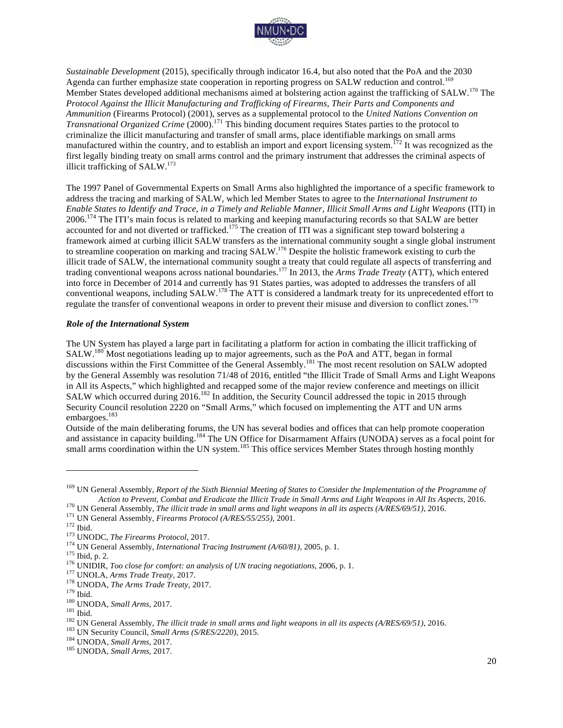

*Sustainable Development* (2015), specifically through indicator 16.4, but also noted that the PoA and the 2030 Agenda can further emphasize state cooperation in reporting progress on SALW reduction and control.<sup>169</sup> Member States developed additional mechanisms aimed at bolstering action against the trafficking of SALW.<sup>170</sup> The *Protocol Against the Illicit Manufacturing and Trafficking of Firearms, Their Parts and Components and Ammunition* (Firearms Protocol) (2001), serves as a supplemental protocol to the *United Nations Convention on Transnational Organized Crime* (2000). <sup>171</sup> This binding document requires States parties to the protocol to criminalize the illicit manufacturing and transfer of small arms, place identifiable markings on small arms manufactured within the country, and to establish an import and export licensing system.<sup>172</sup> It was recognized as the first legally binding treaty on small arms control and the primary instrument that addresses the criminal aspects of illicit trafficking of SALW.173

The 1997 Panel of Governmental Experts on Small Arms also highlighted the importance of a specific framework to address the tracing and marking of SALW, which led Member States to agree to the *International Instrument to Enable States to Identify and Trace, in a Timely and Reliable Manner, Illicit Small Arms and Light Weapons* (ITI) in 2006.<sup>174</sup> The ITI's main focus is related to marking and keeping manufacturing records so that SALW are better accounted for and not diverted or trafficked.<sup>175</sup> The creation of ITI was a significant step toward bolstering a framework aimed at curbing illicit SALW transfers as the international community sought a single global instrument to streamline cooperation on marking and tracing SALW.176 Despite the holistic framework existing to curb the illicit trade of SALW, the international community sought a treaty that could regulate all aspects of transferring and trading conventional weapons across national boundaries.<sup>177</sup> In 2013, the *Arms Trade Treaty* (ATT), which entered into force in December of 2014 and currently has 91 States parties, was adopted to addresses the transfers of all conventional weapons, including SALW.<sup>178</sup> The ATT is considered a landmark treaty for its unprecedented effort to regulate the transfer of conventional weapons in order to prevent their misuse and diversion to conflict zones.<sup>179</sup>

#### *Role of the International System*

The UN System has played a large part in facilitating a platform for action in combating the illicit trafficking of SALW.180 Most negotiations leading up to major agreements, such as the PoA and ATT, began in formal discussions within the First Committee of the General Assembly.<sup>181</sup> The most recent resolution on SALW adopted by the General Assembly was resolution 71/48 of 2016, entitled "the Illicit Trade of Small Arms and Light Weapons in All its Aspects," which highlighted and recapped some of the major review conference and meetings on illicit SALW which occurred during 2016.<sup>182</sup> In addition, the Security Council addressed the topic in 2015 through Security Council resolution 2220 on "Small Arms," which focused on implementing the ATT and UN arms embargoes. 183

Outside of the main deliberating forums, the UN has several bodies and offices that can help promote cooperation and assistance in capacity building.<sup>184</sup> The UN Office for Disarmament Affairs (UNODA) serves as a focal point for small arms coordination within the UN system.<sup>185</sup> This office services Member States through hosting monthly

<sup>&</sup>lt;sup>169</sup> UN General Assembly, *Report of the Sixth Biennial Meeting of States to Consider the Implementation of the Programme of* Action to Prevent, Combat and Eradicate the Illicit Trade in Small Arms and Light Weapons in All Its Aspects, 2016.<br><sup>170</sup> UN General Assembly, *The illicit trade in small arms and light weapons in all its aspects (A/RES/69*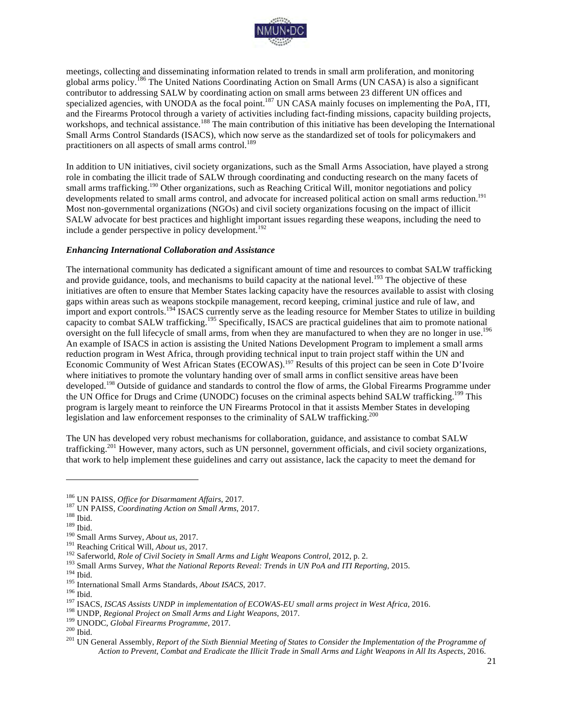

meetings, collecting and disseminating information related to trends in small arm proliferation, and monitoring global arms policy.<sup>186</sup> The United Nations Coordinating Action on Small Arms (UN CASA) is also a significant contributor to addressing SALW by coordinating action on small arms between 23 different UN offices and specialized agencies, with UNODA as the focal point.<sup>187</sup> UN CASA mainly focuses on implementing the PoA, ITI, and the Firearms Protocol through a variety of activities including fact-finding missions, capacity building projects, workshops, and technical assistance.<sup>188</sup> The main contribution of this initiative has been developing the International Small Arms Control Standards (ISACS), which now serve as the standardized set of tools for policymakers and practitioners on all aspects of small arms control.<sup>189</sup>

In addition to UN initiatives, civil society organizations, such as the Small Arms Association, have played a strong role in combating the illicit trade of SALW through coordinating and conducting research on the many facets of small arms trafficking.<sup>190</sup> Other organizations, such as Reaching Critical Will, monitor negotiations and policy developments related to small arms control, and advocate for increased political action on small arms reduction.<sup>191</sup> Most non-governmental organizations (NGOs) and civil society organizations focusing on the impact of illicit SALW advocate for best practices and highlight important issues regarding these weapons, including the need to include a gender perspective in policy development.<sup>192</sup>

#### *Enhancing International Collaboration and Assistance*

The international community has dedicated a significant amount of time and resources to combat SALW trafficking and provide guidance, tools, and mechanisms to build capacity at the national level.<sup>193</sup> The objective of these initiatives are often to ensure that Member States lacking capacity have the resources available to assist with closing gaps within areas such as weapons stockpile management, record keeping, criminal justice and rule of law, and import and export controls.<sup>194</sup> ISACS currently serve as the leading resource for Member States to utilize in building capacity to combat SALW trafficking.<sup>195</sup> Specifically, ISACS are practical guidelines that aim to promote national oversight on the full lifecycle of small arms, from when they are manufactured to when they are no longer in use.<sup>196</sup> An example of ISACS in action is assisting the United Nations Development Program to implement a small arms reduction program in West Africa, through providing technical input to train project staff within the UN and Economic Community of West African States (ECOWAS).<sup>197</sup> Results of this project can be seen in Cote D'Ivoire where initiatives to promote the voluntary handing over of small arms in conflict sensitive areas have been developed.<sup>198</sup> Outside of guidance and standards to control the flow of arms, the Global Firearms Programme under the UN Office for Drugs and Crime (UNODC) focuses on the criminal aspects behind SALW trafficking.<sup>199</sup> This program is largely meant to reinforce the UN Firearms Protocol in that it assists Member States in developing legislation and law enforcement responses to the criminality of SALW trafficking.<sup>200</sup>

The UN has developed very robust mechanisms for collaboration, guidance, and assistance to combat SALW trafficking.<sup>201</sup> However, many actors, such as UN personnel, government officials, and civil society organizations, that work to help implement these guidelines and carry out assistance, lack the capacity to meet the demand for

<sup>&</sup>lt;sup>186</sup> UN PAISS, *Office for Disarmament Affairs*, 2017.<br><sup>187</sup> UN PAISS, *Coordinating Action on Small Arms,* 2017.<br><sup>191</sup> Wall Arms Survey, *About us*, 2017.<br><sup>191</sup> Small Arms Survey, *About us*, 2017.<br><sup>191</sup> Small Arms Surve *Action to Prevent, Combat and Eradicate the Illicit Trade in Small Arms and Light Weapons in All Its Aspects*, 2016.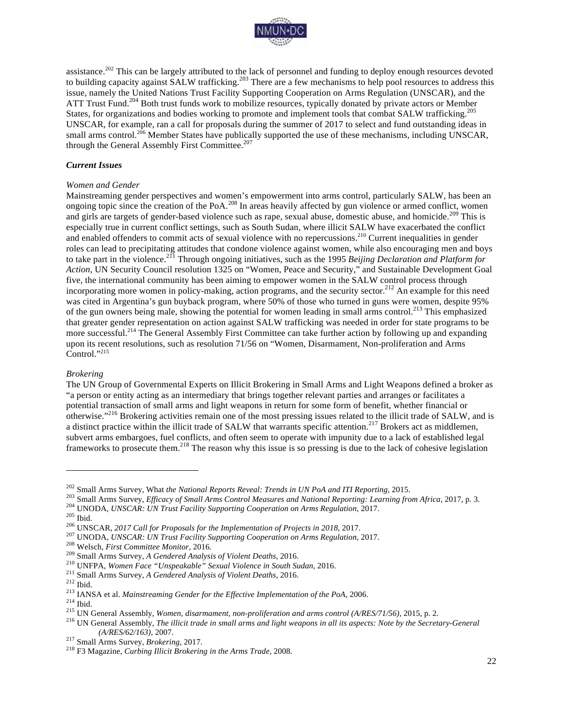

assistance.<sup>202</sup> This can be largely attributed to the lack of personnel and funding to deploy enough resources devoted to building capacity against  $SALW$  trafficking.<sup>203</sup> There are a few mechanisms to help pool resources to address this issue, namely the United Nations Trust Facility Supporting Cooperation on Arms Regulation (UNSCAR), and the ATT Trust Fund.<sup>204</sup> Both trust funds work to mobilize resources, typically donated by private actors or Member States, for organizations and bodies working to promote and implement tools that combat SALW trafficking.<sup>205</sup> UNSCAR, for example, ran a call for proposals during the summer of 2017 to select and fund outstanding ideas in small arms control.<sup>206</sup> Member States have publically supported the use of these mechanisms, including UNSCAR, through the General Assembly First Committee. 207

#### *Current Issues*

#### *Women and Gender*

Mainstreaming gender perspectives and women's empowerment into arms control, particularly SALW, has been an ongoing topic since the creation of the PoA.<sup>208</sup> In areas heavily affected by gun violence or armed conflict, women and girls are targets of gender-based violence such as rape, sexual abuse, domestic abuse, and homicide.<sup>209</sup> This is especially true in current conflict settings, such as South Sudan, where illicit SALW have exacerbated the conflict and enabled offenders to commit acts of sexual violence with no repercussions.<sup>210</sup> Current inequalities in gender roles can lead to precipitating attitudes that condone violence against women, while also encouraging men and boys to take part in the violence.<sup>211</sup> Through ongoing initiatives, such as the 1995 *Beijing Declaration and Platform for Action,* UN Security Council resolution 1325 on "Women, Peace and Security," and Sustainable Development Goal five, the international community has been aiming to empower women in the SALW control process through incorporating more women in policy-making, action programs, and the security sector.<sup>212</sup> An example for this need was cited in Argentina's gun buyback program, where 50% of those who turned in guns were women, despite 95% of the gun owners being male, showing the potential for women leading in small arms control.<sup>213</sup> This emphasized that greater gender representation on action against SALW trafficking was needed in order for state programs to be more successful.<sup>214</sup> The General Assembly First Committee can take further action by following up and expanding upon its recent resolutions, such as resolution 71/56 on "Women, Disarmament, Non-proliferation and Arms Control."<sup>215</sup>

#### *Brokering*

The UN Group of Governmental Experts on Illicit Brokering in Small Arms and Light Weapons defined a broker as "a person or entity acting as an intermediary that brings together relevant parties and arranges or facilitates a potential transaction of small arms and light weapons in return for some form of benefit, whether financial or otherwise."<sup>216</sup> Brokering activities remain one of the most pressing issues related to the illicit trade of SALW, and is a distinct practice within the illicit trade of SALW that warrants specific attention.<sup>217</sup> Brokers act as middlemen. subvert arms embargoes, fuel conflicts, and often seem to operate with impunity due to a lack of established legal frameworks to prosecute them.<sup>218</sup> The reason why this issue is so pressing is due to the lack of cohesive legislation

<sup>202</sup> Small Arms Survey, What *the National Reports Reveal: Trends in UN PoA and ITI Reporting, 2015.*<br>203 Small Arms Survey, *Efficacy of Small Arms Control Measures and National Reporting: Learning from Africa, 2017, p. 3.* <sup>216</sup> UN General Assembly, *The illicit trade in small arms and light weapons in all its aspects: Note by the Secretary-General (A/RES/62/163), 2007.<br><sup>217</sup> Small Arms Survey, <i>Brokering*, 2017.<br><sup>218</sup> F3 Magazine, *Curbing*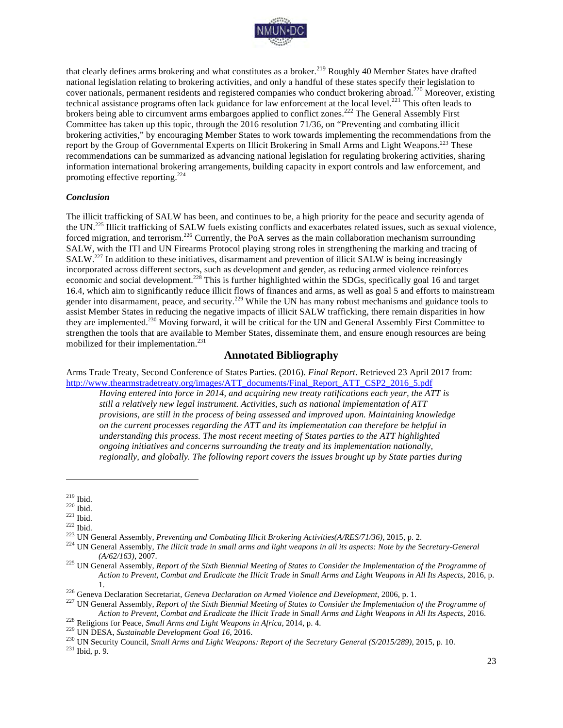

that clearly defines arms brokering and what constitutes as a broker.<sup>219</sup> Roughly 40 Member States have drafted national legislation relating to brokering activities, and only a handful of these states specify their legislation to cover nationals, permanent residents and registered companies who conduct brokering abroad.<sup>220</sup> Moreover, existing technical assistance programs often lack guidance for law enforcement at the local level.<sup>221</sup> This often leads to brokers being able to circumvent arms embargoes applied to conflict zones.<sup>222</sup> The General Assembly First Committee has taken up this topic, through the 2016 resolution 71/36, on "Preventing and combating illicit brokering activities," by encouraging Member States to work towards implementing the recommendations from the report by the Group of Governmental Experts on Illicit Brokering in Small Arms and Light Weapons.<sup>223</sup> These recommendations can be summarized as advancing national legislation for regulating brokering activities, sharing information international brokering arrangements, building capacity in export controls and law enforcement, and promoting effective reporting.<sup>224</sup>

#### *Conclusion*

The illicit trafficking of SALW has been, and continues to be, a high priority for the peace and security agenda of the UN.<sup>225</sup> Illicit trafficking of SALW fuels existing conflicts and exacerbates related issues, such as sexual violence, forced migration, and terrorism.<sup>226</sup> Currently, the PoA serves as the main collaboration mechanism surrounding SALW, with the ITI and UN Firearms Protocol playing strong roles in strengthening the marking and tracing of SALW.<sup>227</sup> In addition to these initiatives, disarmament and prevention of illicit SALW is being increasingly incorporated across different sectors, such as development and gender, as reducing armed violence reinforces economic and social development.<sup>228</sup> This is further highlighted within the SDGs, specifically goal 16 and target 16.4, which aim to significantly reduce illicit flows of finances and arms, as well as goal 5 and efforts to mainstream gender into disarmament, peace, and security.<sup>229</sup> While the UN has many robust mechanisms and guidance tools to assist Member States in reducing the negative impacts of illicit SALW trafficking, there remain disparities in how they are implemented.230 Moving forward, it will be critical for the UN and General Assembly First Committee to strengthen the tools that are available to Member States, disseminate them, and ensure enough resources are being mobilized for their implementation. 231

#### **Annotated Bibliography**

Arms Trade Treaty, Second Conference of States Parties. (2016). *Final Report*. Retrieved 23 April 2017 from: http://www.thearmstradetreaty.org/images/ATT\_documents/Final\_Report\_ATT\_CSP2\_2016\_5.pdf

*Having entered into force in 2014, and acquiring new treaty ratifications each year, the ATT is still a relatively new legal instrument. Activities, such as national implementation of ATT provisions, are still in the process of being assessed and improved upon. Maintaining knowledge on the current processes regarding the ATT and its implementation can therefore be helpful in understanding this process. The most recent meeting of States parties to the ATT highlighted ongoing initiatives and concerns surrounding the treaty and its implementation nationally, regionally, and globally. The following report covers the issues brought up by State parties during* 

<sup>&</sup>lt;sup>219</sup> Ibid.<br><sup>220</sup> Ibid.<br><sup>221</sup> Ibid.<br><sup>222</sup> Ibid.<br><sup>223</sup> UN General Assembly, *Preventing and Combating Illicit Brokering Activities(A/RES/71/36)*, 2015, p. 2.<br><sup>223</sup> UN General Assembly, *The illicit trade in small arms and (A/62/163)*, 2007. <sup>225</sup> UN General Assembly, *Report of the Sixth Biennial Meeting of States to Consider the Implementation of the Programme of* 

*Action to Prevent, Combat and Eradicate the Illicit Trade in Small Arms and Light Weapons in All Its Aspects*, 2016, p.

<sup>1.&</sup>lt;br><sup>226</sup> Geneva Declaration Secretariat, *Geneva Declaration on Armed Violence and Development*, 2006, p. 1.<br><sup>227</sup> UN General Assembly, *Report of the Sixth Biennial Meeting of States to Consider the Implementation of the* Action to Prevent, Combat and Eradicate the Illicit Trade in Small Arms and Light Weapons in All Its Aspects, 2016.<br><sup>228</sup> Religions for Peace, *Small Arms and Light Weapons in Africa*, 2014, p. 4.<br><sup>229</sup> UN DESA, *Sustainab*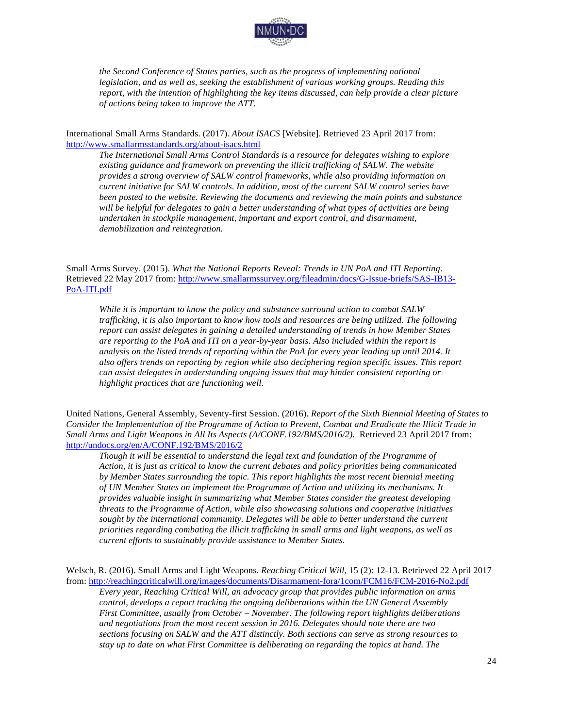

*the Second Conference of States parties, such as the progress of implementing national legislation, and as well as, seeking the establishment of various working groups. Reading this report, with the intention of highlighting the key items discussed, can help provide a clear picture of actions being taken to improve the ATT.*

International Small Arms Standards. (2017). *About ISACS* [Website]. Retrieved 23 April 2017 from: http://www.smallarmsstandards.org/about-isacs.html

*The International Small Arms Control Standards is a resource for delegates wishing to explore existing guidance and framework on preventing the illicit trafficking of SALW. The website provides a strong overview of SALW control frameworks, while also providing information on current initiative for SALW controls. In addition, most of the current SALW control series have been posted to the website. Reviewing the documents and reviewing the main points and substance will be helpful for delegates to gain a better understanding of what types of activities are being undertaken in stockpile management, important and export control, and disarmament, demobilization and reintegration.* 

Small Arms Survey. (2015). *What the National Reports Reveal: Trends in UN PoA and ITI Reporting*. Retrieved 22 May 2017 from: http://www.smallarmssurvey.org/fileadmin/docs/G-Issue-briefs/SAS-IB13- PoA-ITI.pdf

*While it is important to know the policy and substance surround action to combat SALW trafficking, it is also important to know how tools and resources are being utilized. The following report can assist delegates in gaining a detailed understanding of trends in how Member States are reporting to the PoA and ITI on a year-by-year basis. Also included within the report is analysis on the listed trends of reporting within the PoA for every year leading up until 2014. It also offers trends on reporting by region while also deciphering region specific issues. This report can assist delegates in understanding ongoing issues that may hinder consistent reporting or highlight practices that are functioning well.*

United Nations, General Assembly, Seventy-first Session. (2016). *Report of the Sixth Biennial Meeting of States to Consider the Implementation of the Programme of Action to Prevent, Combat and Eradicate the Illicit Trade in Small Arms and Light Weapons in All Its Aspects (A/CONF.192/BMS/2016/2).* Retrieved 23 April 2017 from: http://undocs.org/en/A/CONF.192/BMS/2016/2

*Though it will be essential to understand the legal text and foundation of the Programme of Action, it is just as critical to know the current debates and policy priorities being communicated by Member States surrounding the topic. This report highlights the most recent biennial meeting of UN Member States on implement the Programme of Action and utilizing its mechanisms. It provides valuable insight in summarizing what Member States consider the greatest developing threats to the Programme of Action, while also showcasing solutions and cooperative initiatives sought by the international community. Delegates will be able to better understand the current priorities regarding combating the illicit trafficking in small arms and light weapons, as well as current efforts to sustainably provide assistance to Member States.*

*Every year, Reaching Critical Will, an advocacy group that provides public information on arms control, develops a report tracking the ongoing deliberations within the UN General Assembly First Committee, usually from October – November. The following report highlights deliberations and negotiations from the most recent session in 2016. Delegates should note there are two sections focusing on SALW and the ATT distinctly. Both sections can serve as strong resources to stay up to date on what First Committee is deliberating on regarding the topics at hand. The* 

Welsch, R. (2016). Small Arms and Light Weapons. *Reaching Critical Will*, 15 (2): 12-13. Retrieved 22 April 2017 from: http://reachingcriticalwill.org/images/documents/Disarmament-fora/1com/FCM16/FCM-2016-No2.pdf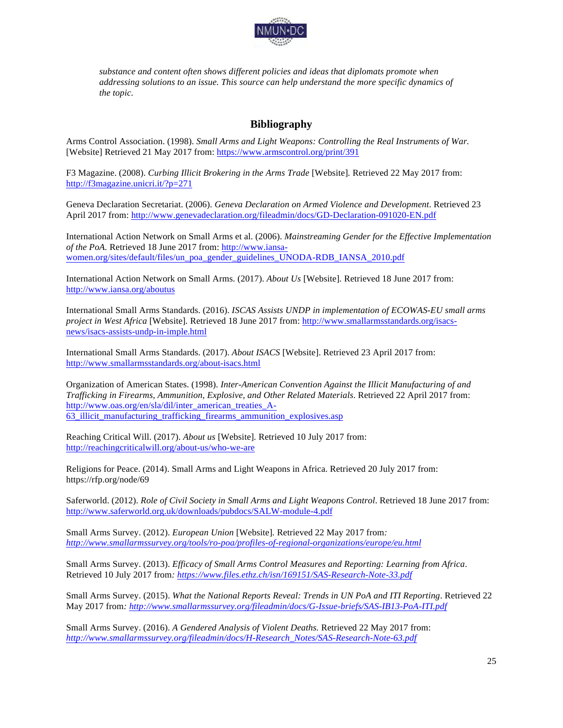

*substance and content often shows different policies and ideas that diplomats promote when addressing solutions to an issue. This source can help understand the more specific dynamics of the topic.*

#### **Bibliography**

Arms Control Association. (1998). *Small Arms and Light Weapons: Controlling the Real Instruments of War.* [Website] Retrieved 21 May 2017 from: https://www.armscontrol.org/print/391

F3 Magazine. (2008). *Curbing Illicit Brokering in the Arms Trade* [Website]*.* Retrieved 22 May 2017 from: http://f3magazine.unicri.it/?p=271

Geneva Declaration Secretariat. (2006). *Geneva Declaration on Armed Violence and Development*. Retrieved 23 April 2017 from: http://www.genevadeclaration.org/fileadmin/docs/GD-Declaration-091020-EN.pdf

International Action Network on Small Arms et al. (2006). *Mainstreaming Gender for the Effective Implementation of the PoA.* Retrieved 18 June 2017 from: http://www.iansawomen.org/sites/default/files/un\_poa\_gender\_guidelines\_UNODA-RDB\_IANSA\_2010.pdf

International Action Network on Small Arms. (2017). *About Us* [Website]*.* Retrieved 18 June 2017 from: http://www.iansa.org/aboutus

International Small Arms Standards. (2016). *ISCAS Assists UNDP in implementation of ECOWAS-EU small arms project in West Africa* [Website]*.* Retrieved 18 June 2017 from: http://www.smallarmsstandards.org/isacsnews/isacs-assists-undp-in-imple.html

International Small Arms Standards. (2017). *About ISACS* [Website]. Retrieved 23 April 2017 from: http://www.smallarmsstandards.org/about-isacs.html

Organization of American States. (1998). *Inter-American Convention Against the Illicit Manufacturing of and Trafficking in Firearms, Ammunition, Explosive, and Other Related Materials*. Retrieved 22 April 2017 from: http://www.oas.org/en/sla/dil/inter\_american\_treaties\_A-63\_illicit\_manufacturing\_trafficking\_firearms\_ammunition\_explosives.asp

Reaching Critical Will. (2017). *About us* [Website]*.* Retrieved 10 July 2017 from: http://reachingcriticalwill.org/about-us/who-we-are

Religions for Peace. (2014). Small Arms and Light Weapons in Africa. Retrieved 20 July 2017 from: https://rfp.org/node/69

Saferworld. (2012). *Role of Civil Society in Small Arms and Light Weapons Control*. Retrieved 18 June 2017 from: http://www.saferworld.org.uk/downloads/pubdocs/SALW-module-4.pdf

Small Arms Survey. (2012). *European Union* [Website]*.* Retrieved 22 May 2017 from*: http://www.smallarmssurvey.org/tools/ro-poa/profiles-of-regional-organizations/europe/eu.html*

Small Arms Survey. (2013). *Efficacy of Small Arms Control Measures and Reporting: Learning from Africa*. Retrieved 10 July 2017 from*: https://www.files.ethz.ch/isn/169151/SAS-Research-Note-33.pdf*

Small Arms Survey. (2015). *What the National Reports Reveal: Trends in UN PoA and ITI Reporting*. Retrieved 22 May 2017 from*: http://www.smallarmssurvey.org/fileadmin/docs/G-Issue-briefs/SAS-IB13-PoA-ITI.pdf*

Small Arms Survey. (2016). *A Gendered Analysis of Violent Deaths.* Retrieved 22 May 2017 from: *http://www.smallarmssurvey.org/fileadmin/docs/H-Research\_Notes/SAS-Research-Note-63.pdf*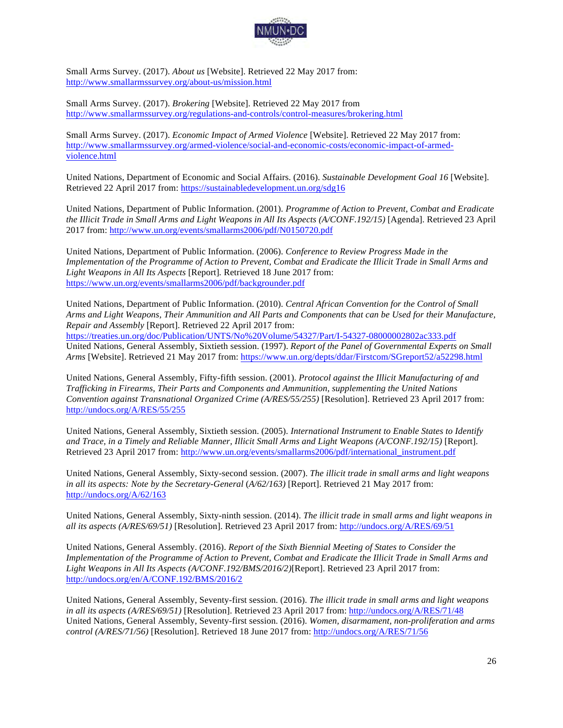

Small Arms Survey. (2017). *About us* [Website]. Retrieved 22 May 2017 from: http://www.smallarmssurvey.org/about-us/mission.html

Small Arms Survey. (2017). *Brokering* [Website]. Retrieved 22 May 2017 from http://www.smallarmssurvey.org/regulations-and-controls/control-measures/brokering.html

Small Arms Survey. (2017). *Economic Impact of Armed Violence* [Website]. Retrieved 22 May 2017 from: http://www.smallarmssurvey.org/armed-violence/social-and-economic-costs/economic-impact-of-armedviolence.html

United Nations, Department of Economic and Social Affairs. (2016). *Sustainable Development Goal 16* [Website]. Retrieved 22 April 2017 from: https://sustainabledevelopment.un.org/sdg16

United Nations, Department of Public Information. (2001). *Programme of Action to Prevent, Combat and Eradicate the Illicit Trade in Small Arms and Light Weapons in All Its Aspects (A/CONF.192/15)* [Agenda]. Retrieved 23 April 2017 from: http://www.un.org/events/smallarms2006/pdf/N0150720.pdf

United Nations, Department of Public Information. (2006). *Conference to Review Progress Made in the Implementation of the Programme of Action to Prevent, Combat and Eradicate the Illicit Trade in Small Arms and Light Weapons in All Its Aspects* [Report]*.* Retrieved 18 June 2017 from: https://www.un.org/events/smallarms2006/pdf/backgrounder.pdf

United Nations, Department of Public Information. (2010). *Central African Convention for the Control of Small Arms and Light Weapons, Their Ammunition and All Parts and Components that can be Used for their Manufacture, Repair and Assembly* [Report]. Retrieved 22 April 2017 from: https://treaties.un.org/doc/Publication/UNTS/No%20Volume/54327/Part/I-54327-08000002802ac333.pdf United Nations, General Assembly, Sixtieth session. (1997). *Report of the Panel of Governmental Experts on Small Arms* [Website]. Retrieved 21 May 2017 from: https://www.un.org/depts/ddar/Firstcom/SGreport52/a52298.html

United Nations, General Assembly, Fifty-fifth session. (2001). *Protocol against the Illicit Manufacturing of and Trafficking in Firearms, Their Parts and Components and Ammunition, supplementing the United Nations Convention against Transnational Organized Crime (A/RES/55/255)* [Resolution]. Retrieved 23 April 2017 from: http://undocs.org/A/RES/55/255

United Nations, General Assembly, Sixtieth session. (2005). *International Instrument to Enable States to Identify and Trace, in a Timely and Reliable Manner, Illicit Small Arms and Light Weapons (A/CONF.192/15)* [Report]. Retrieved 23 April 2017 from: http://www.un.org/events/smallarms2006/pdf/international\_instrument.pdf

United Nations, General Assembly, Sixty-second session. (2007). *The illicit trade in small arms and light weapons in all its aspects: Note by the Secretary-General* (*A/62/163)* [Report]. Retrieved 21 May 2017 from: http://undocs.org/A/62/163

United Nations, General Assembly, Sixty-ninth session. (2014). *The illicit trade in small arms and light weapons in all its aspects (A/RES/69/51)* [Resolution]. Retrieved 23 April 2017 from: http://undocs.org/A/RES/69/51

United Nations, General Assembly. (2016). *Report of the Sixth Biennial Meeting of States to Consider the Implementation of the Programme of Action to Prevent, Combat and Eradicate the Illicit Trade in Small Arms and Light Weapons in All Its Aspects (A/CONF.192/BMS/2016/2)*[Report]. Retrieved 23 April 2017 from: http://undocs.org/en/A/CONF.192/BMS/2016/2

United Nations, General Assembly, Seventy-first session. (2016). *The illicit trade in small arms and light weapons in all its aspects (A/RES/69/51)* [Resolution]. Retrieved 23 April 2017 from: http://undocs.org/A/RES/71/48 United Nations, General Assembly, Seventy-first session. (2016). *Women, disarmament, non-proliferation and arms control (A/RES/71/56)* [Resolution]. Retrieved 18 June 2017 from: http://undocs.org/A/RES/71/56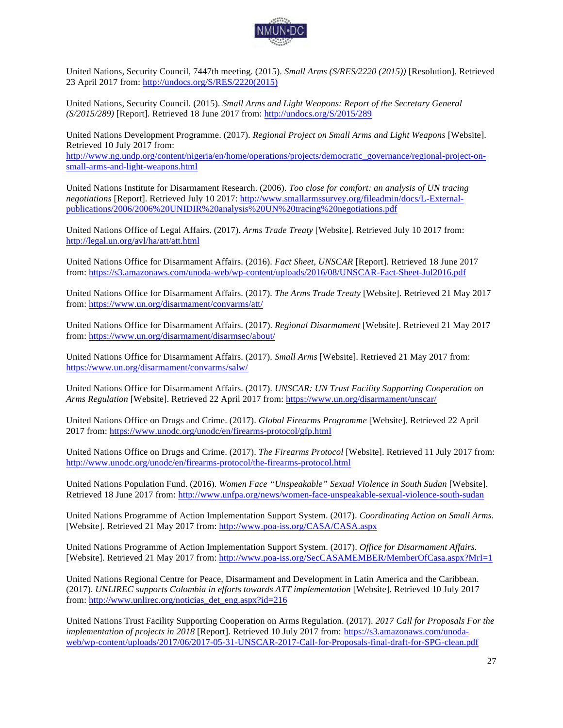

United Nations, Security Council, 7447th meeting. (2015). *Small Arms (S/RES/2220 (2015))* [Resolution]. Retrieved 23 April 2017 from: http://undocs.org/S/RES/2220(2015)

United Nations, Security Council. (2015). *Small Arms and Light Weapons: Report of the Secretary General (S/2015/289)* [Report]*.* Retrieved 18 June 2017 from: http://undocs.org/S/2015/289

United Nations Development Programme. (2017). *Regional Project on Small Arms and Light Weapons* [Website]. Retrieved 10 July 2017 from:

http://www.ng.undp.org/content/nigeria/en/home/operations/projects/democratic\_governance/regional-project-onsmall-arms-and-light-weapons.html

United Nations Institute for Disarmament Research. (2006). *Too close for comfort: an analysis of UN tracing negotiations* [Report]. Retrieved July 10 2017: http://www.smallarmssurvey.org/fileadmin/docs/L-Externalpublications/2006/2006%20UNIDIR%20analysis%20UN%20tracing%20negotiations.pdf

United Nations Office of Legal Affairs. (2017). *Arms Trade Treaty* [Website]. Retrieved July 10 2017 from: http://legal.un.org/avl/ha/att/att.html

United Nations Office for Disarmament Affairs. (2016). *Fact Sheet, UNSCAR* [Report]. Retrieved 18 June 2017 from: https://s3.amazonaws.com/unoda-web/wp-content/uploads/2016/08/UNSCAR-Fact-Sheet-Jul2016.pdf

United Nations Office for Disarmament Affairs. (2017). *The Arms Trade Treaty* [Website]. Retrieved 21 May 2017 from: https://www.un.org/disarmament/convarms/att/

United Nations Office for Disarmament Affairs. (2017). *Regional Disarmament* [Website]. Retrieved 21 May 2017 from: https://www.un.org/disarmament/disarmsec/about/

United Nations Office for Disarmament Affairs. (2017). *Small Arms* [Website]. Retrieved 21 May 2017 from: https://www.un.org/disarmament/convarms/salw/

United Nations Office for Disarmament Affairs. (2017). *UNSCAR: UN Trust Facility Supporting Cooperation on Arms Regulation* [Website]. Retrieved 22 April 2017 from: https://www.un.org/disarmament/unscar/

United Nations Office on Drugs and Crime. (2017). *Global Firearms Programme* [Website]. Retrieved 22 April 2017 from: https://www.unodc.org/unodc/en/firearms-protocol/gfp.html

United Nations Office on Drugs and Crime. (2017). *The Firearms Protocol* [Website]. Retrieved 11 July 2017 from: http://www.unodc.org/unodc/en/firearms-protocol/the-firearms-protocol.html

United Nations Population Fund. (2016). *Women Face "Unspeakable" Sexual Violence in South Sudan* [Website]. Retrieved 18 June 2017 from: http://www.unfpa.org/news/women-face-unspeakable-sexual-violence-south-sudan

United Nations Programme of Action Implementation Support System. (2017). *Coordinating Action on Small Arms.*  [Website]. Retrieved 21 May 2017 from: http://www.poa-iss.org/CASA/CASA.aspx

United Nations Programme of Action Implementation Support System. (2017). *Office for Disarmament Affairs.*  [Website]. Retrieved 21 May 2017 from: http://www.poa-iss.org/SecCASAMEMBER/MemberOfCasa.aspx?MrI=1

United Nations Regional Centre for Peace, Disarmament and Development in Latin America and the Caribbean. (2017). *UNLIREC supports Colombia in efforts towards ATT implementation* [Website]. Retrieved 10 July 2017 from: http://www.unlirec.org/noticias\_det\_eng.aspx?id=216

United Nations Trust Facility Supporting Cooperation on Arms Regulation. (2017). *2017 Call for Proposals For the implementation of projects in 2018* [Report]. Retrieved 10 July 2017 from: https://s3.amazonaws.com/unodaweb/wp-content/uploads/2017/06/2017-05-31-UNSCAR-2017-Call-for-Proposals-final-draft-for-SPG-clean.pdf